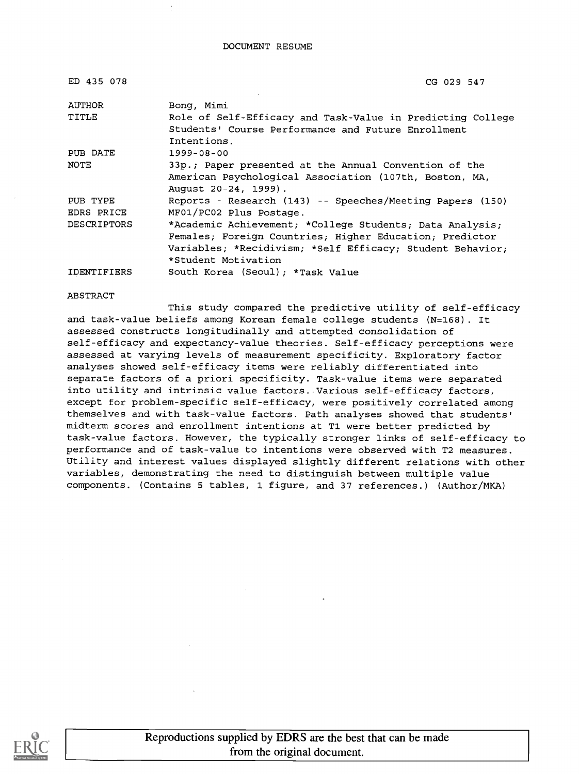| ED 435 078         | CG 029 547                                                                                                                                                                                              |
|--------------------|---------------------------------------------------------------------------------------------------------------------------------------------------------------------------------------------------------|
| AUTHOR             | Bong, Mimi                                                                                                                                                                                              |
| TITLE              | Role of Self-Efficacy and Task-Value in Predicting College<br>Students' Course Performance and Future Enrollment<br>Intentions.                                                                         |
| PUB DATE           | $1999 - 08 - 00$                                                                                                                                                                                        |
| NOTE               | 33p.; Paper presented at the Annual Convention of the<br>American Psychological Association (107th, Boston, MA,<br>August 20-24, 1999).                                                                 |
| PUB TYPE           | Reports - Research (143) -- Speeches/Meeting Papers (150)                                                                                                                                               |
| EDRS PRICE         | MF01/PC02 Plus Postage.                                                                                                                                                                                 |
| DESCRIPTORS        | *Academic Achievement; *College Students; Data Analysis;<br>Females; Foreign Countries; Higher Education; Predictor<br>Variables; *Recidivism; *Self Efficacy; Student Behavior;<br>*Student Motivation |
| <b>IDENTIFIERS</b> | South Korea (Seoul); *Task Value                                                                                                                                                                        |

#### ABSTRACT

This study compared the predictive utility of self-efficacy and task-value beliefs among Korean female college students (N=168). It assessed constructs longitudinally and attempted consolidation of self-efficacy and expectancy-value theories. Self-efficacy perceptions were assessed at varying levels of measurement specificity. Exploratory factor analyses showed self-efficacy items were reliably differentiated into separate factors of a priori specificity. Task-value items were separated into utility and intrinsic value factors. Various self-efficacy factors, except for problem-specific self-efficacy, were positively correlated among themselves and with task-value factors. Path analyses showed that students' midterm scores and enrollment intentions at T1 were better predicted by task-value factors. However, the typically stronger links of self-efficacy to performance and of task-value to intentions were observed with T2 measures. Utility and interest values displayed slightly different relations with other variables, demonstrating the need to distinguish between multiple value components. (Contains 5 tables, 1 figure, and 37 references.) (Author/MKA)

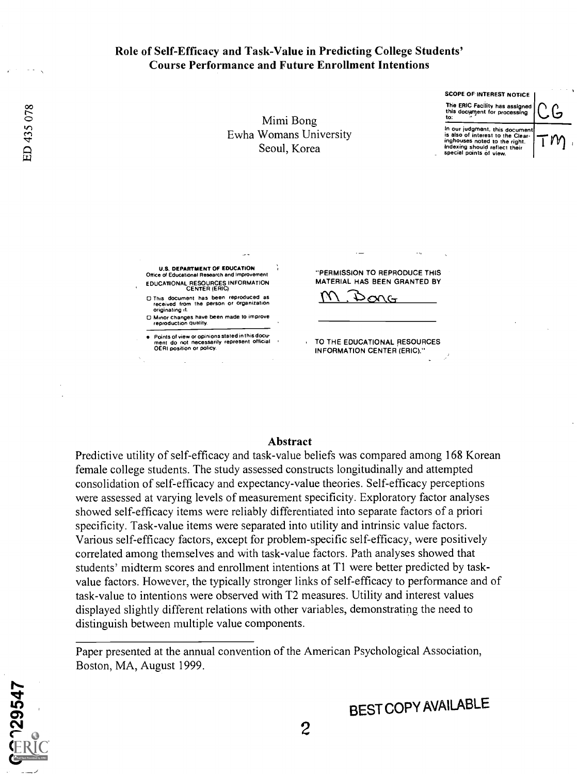#### Role of Self-Efficacy and Task-Value in Predicting College Students' Course Performance and Future Enrollment Intentions

Mimi Bong Ewha Womans University Seoul, Korea

SCOPE OF INTEREST NOTICE

The ERIC Facility has assigned this document for processing  $\cup$ 

In our judgment, this document is also of interest to the Clearinghouses noted to the right. Indexing should reflect their special points of view.

 $C$ خا 1111,

DEPARTMENT OF EDUCATION Office of Educational Research and Improvement EDUCATIONAL RESOURCES INFORMATION CENTER (ERIC)

0 This document has been reproduced as received from the person or organization<br>originating it.

originating it. Minor changes have been made to improve reproduction quality.

Points of view or opinions stated in this document do not necessarily represent official OEM position or policy. "PERMISSION TO REPRODUCE THIS MATERIAL HAS BEEN GRANTED BY

 $\mathcal{P}^\mathrm{QUC}$ 

TO THE EDUCATIONAL RESOURCES INFORMATION CENTER (ERIC)."

#### Abstract

Predictive utility of self-efficacy and task-value beliefs was compared among 168 Korean female college students. The study assessed constructs longitudinally and attempted consolidation of self-efficacy and expectancy-value theories. Self-efficacy perceptions were assessed at varying levels of measurement specificity. Exploratory factor analyses showed self-efficacy items were reliably differentiated into separate factors of a priori specificity. Task-value items were separated into utility and intrinsic value factors. Various self-efficacy factors, except for problem-specific self-efficacy, were positively correlated among themselves and with task-value factors. Path analyses showed that students' midterm scores and enrollment intentions at Ti were better predicted by taskvalue factors. However, the typically stronger links of self-efficacy to performance and of task-value to intentions were observed with T2 measures. Utility and interest values displayed slightly different relations with other variables, demonstrating the need to distinguish between multiple value components.

Paper presented at the annual convention of the American Psychological Association, Boston, MA, August 1999.



 $\frac{1}{1}$  $\boldsymbol{\omega}$  က တ္ က  $\sum_{i=0}^{\infty}$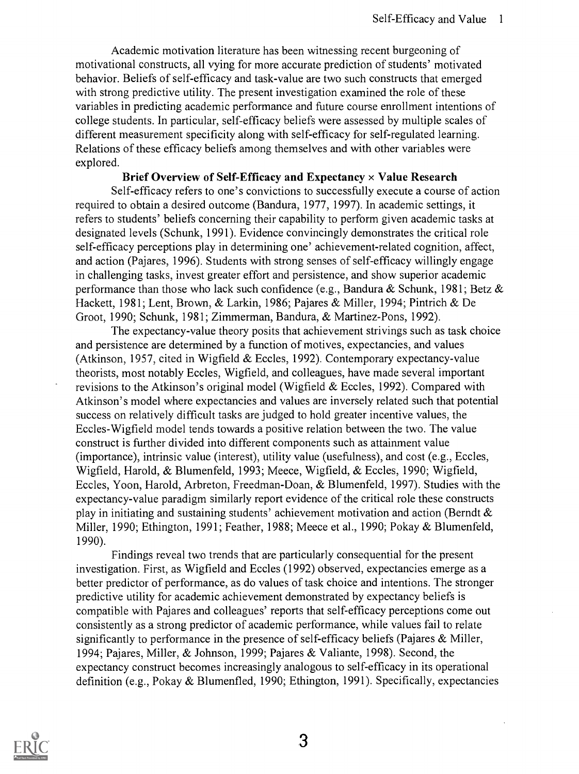Academic motivation literature has been witnessing recent burgeoning of motivational constructs, all vying for more accurate prediction of students' motivated behavior. Beliefs of self-efficacy and task-value are two such constructs that emerged with strong predictive utility. The present investigation examined the role of these variables in predicting academic performance and future course enrollment intentions of college students. In particular, self-efficacy beliefs were assessed by multiple scales of different measurement specificity along with self-efficacy for self-regulated learning. Relations of these efficacy beliefs among themselves and with other variables were explored.

Brief Overview of Self-Efficacy and Expectancy  $\times$  Value Research Self-efficacy refers to one's convictions to successfully execute a course of action required to obtain a desired outcome (Bandura, 1977, 1997). In academic settings, it refers to students' beliefs concerning their capability to perform given academic tasks at designated levels (Schunk, 1991). Evidence convincingly demonstrates the critical role self-efficacy perceptions play in determining one' achievement-related cognition, affect, and action (Pajares, 1996). Students with strong senses of self-efficacy willingly engage in challenging tasks, invest greater effort and persistence, and show superior academic performance than those who lack such confidence (e.g., Bandura & Schunk, 1981; Betz  $\&$ Hackett, 1981; Lent, Brown, & Larkin, 1986; Pajares & Miller, 1994; Pintrich & De Groot, 1990; Schunk, 1981; Zimmerman, Bandura, & Martinez-Pons, 1992).

The expectancy-value theory posits that achievement strivings such as task choice and persistence are determined by a function of motives, expectancies, and values (Atkinson, 1957, cited in Wigfield & Eccles, 1992). Contemporary expectancy-value theorists, most notably Eccles, Wigfield, and colleagues, have made several important revisions to the Atkinson's original model (Wigfield & Eccles, 1992). Compared with Atkinson's model where expectancies and values are inversely related such that potential success on relatively difficult tasks are judged to hold greater incentive values, the Eccles-Wigfield model tends towards a positive relation between the two. The value construct is further divided into different components such as attainment value (importance), intrinsic value (interest), utility value (usefulness), and cost (e.g., Eccles, Wigfield, Harold, & Blumenfeld, 1993; Meece, Wigfield, & Eccles, 1990; Wigfield, Eccles, Yoon, Harold, Arbreton, Freedman-Doan, & Blumenfeld, 1997). Studies with the expectancy-value paradigm similarly report evidence of the critical role these constructs play in initiating and sustaining students' achievement motivation and action (Berndt & Miller, 1990; Ethington, 1991; Feather, 1988; Meece et al., 1990; Pokay & Blumenfeld, 1990).

Findings reveal two trends that are particularly consequential for the present investigation. First, as Wigfield and Eccles (1992) observed, expectancies emerge as a better predictor of performance, as do values of task choice and intentions. The stronger predictive utility for academic achievement demonstrated by expectancy beliefs is compatible with Pajares and colleagues' reports that self-efficacy perceptions come out consistently as a strong predictor of academic performance, while values fail to relate significantly to performance in the presence of self-efficacy beliefs (Pajares & Miller, 1994; Pajares, Miller, & Johnson, 1999; Pajares & Valiante, 1998). Second, the expectancy construct becomes increasingly analogous to self-efficacy in its operational definition (e.g., Pokay & Blumenfled, 1990; Ethington, 1991). Specifically, expectancies

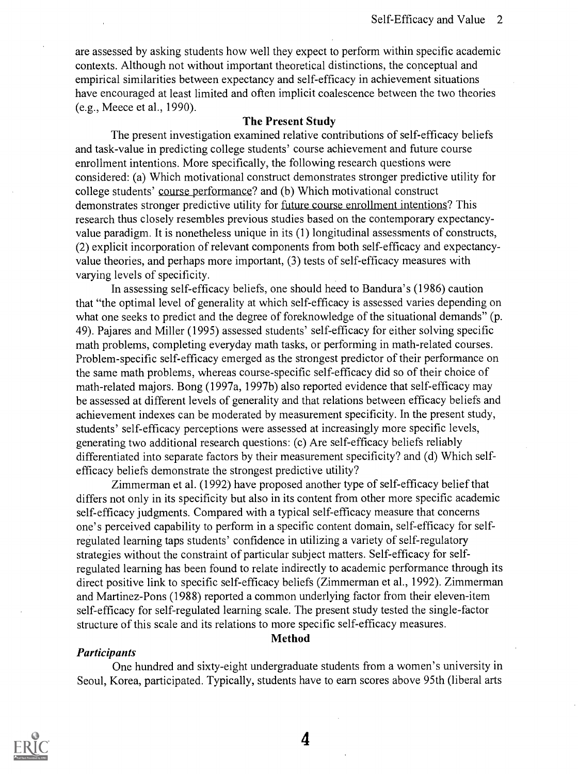are assessed by asking students how well they expect to perform within specific academic contexts. Although not without important theoretical distinctions, the conceptual and empirical similarities between expectancy and self-efficacy in achievement situations have encouraged at least limited and often implicit coalescence between the two theories (e.g., Meece et al., 1990).

#### The Present Study

The present investigation examined relative contributions of self-efficacy beliefs and task-value in predicting college students' course achievement and future course enrollment intentions. More specifically, the following research questions were considered: (a) Which motivational construct demonstrates stronger predictive utility for college students' course performance? and (b) Which motivational construct demonstrates stronger predictive utility for future course enrollment intentions? This research thus closely resembles previous studies based on the contemporary expectancyvalue paradigm. It is nonetheless unique in its (1) longitudinal assessments of constructs, (2) explicit incorporation of relevant components from both self-efficacy and expectancyvalue theories, and perhaps more important, (3) tests of self-efficacy measures with varying levels of specificity.

In assessing self-efficacy beliefs, one should heed to Bandura's (1986) caution that "the optimal level of generality at which self-efficacy is assessed varies depending on what one seeks to predict and the degree of foreknowledge of the situational demands" (p. 49). Pajares and Miller (1995) assessed students' self-efficacy for either solving specific math problems, completing everyday math tasks, or performing in math-related courses. Problem-specific self-efficacy emerged as the strongest predictor of their performance on the same math problems, whereas course-specific self-efficacy did so of their choice of math-related majors. Bong (1997a, 1997b) also reported evidence that self-efficacy may be assessed at different levels of generality and that relations between efficacy beliefs and achievement indexes can be moderated by measurement specificity. In the present study, students' self-efficacy perceptions were assessed at increasingly more specific levels, generating two additional research questions: (c) Are self-efficacy beliefs reliably differentiated into separate factors by their measurement specificity? and (d) Which selfefficacy beliefs demonstrate the strongest predictive utility?

Zimmerman et al. (1992) have proposed another type of self-efficacy belief that differs not only in its specificity but also in its content from other more specific academic self-efficacy judgments. Compared with a typical self-efficacy measure that concerns one's perceived capability to perform in a specific content domain, self-efficacy for selfregulated learning taps students' confidence in utilizing a variety of self-regulatory strategies without the constraint of particular subject matters. Self-efficacy for selfregulated learning has been found to relate indirectly to academic performance through its direct positive link to specific self-efficacy beliefs (Zimmerman et al., 1992). Zimmerman and Martinez-Pons (1988) reported a common underlying factor from their eleven-item self-efficacy for self-regulated learning scale. The present study tested the single-factor structure of this scale and its relations to more specific self-efficacy measures.

#### Method

#### Participants

One hundred and sixty-eight undergraduate students from a women's university in Seoul, Korea, participated. Typically, students have to earn scores above 95th (liberal arts

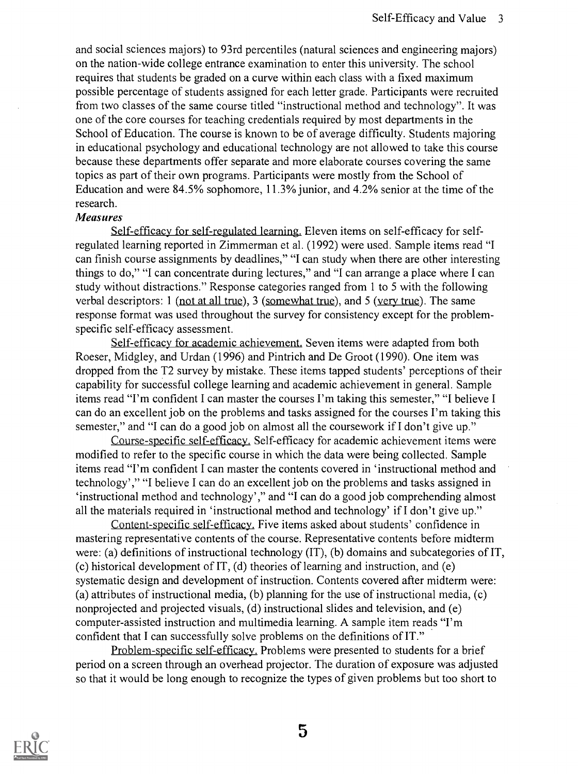and social sciences majors) to 93rd percentiles (natural sciences and engineering majors) on the nation-wide college entrance examination to enter this university. The school requires that students be graded on a curve within each class with a fixed maximum possible percentage of students assigned for each letter grade. Participants were recruited from two classes of the same course titled "instructional method and technology". It was one of the core courses for teaching credentials required by most departments in the School of Education. The course is known to be of average difficulty. Students majoring in educational psychology and educational technology are not allowed to take this course because these departments offer separate and more elaborate courses covering the same topics as part of their own programs. Participants were mostly from the School of Education and were 84.5% sophomore, 11.3% junior, and 4.2% senior at the time of the research.

#### Measures

Self-efficacy for self-regulated learning. Eleven items on self-efficacy for selfregulated learning reported in Zimmerman et al. (1992) were used. Sample items read "I can finish course assignments by deadlines," "I can study when there are other interesting things to do," "I can concentrate during lectures," and "I can arrange a place where I can study without distractions." Response categories ranged from 1 to 5 with the following verbal descriptors: 1 (not at all true), 3 (somewhat true), and 5 (very true). The same response format was used throughout the survey for consistency except for the problemspecific self-efficacy assessment.

Self-efficacy for academic achievement. Seven items were adapted from both Roeser, Midgley, and Urdan (1996) and Pintrich and De Groot (1990). One item was dropped from the T2 survey by mistake. These items tapped students' perceptions of their capability for successful college learning and academic achievement in general. Sample items read "I'm confident I can master the courses I'm taking this semester," "I believe I can do an excellent job on the problems and tasks assigned for the courses I'm taking this semester," and "I can do a good job on almost all the coursework if I don't give up."

Course-specific self-efficacy. Self-efficacy for academic achievement items were modified to refer to the specific course in which the data were being collected. Sample items read "I'm confident I can master the contents covered in 'instructional method and technology'," "I believe I can do an excellent job on the problems and tasks assigned in `instructional method and technology'," and "I can do a good job comprehending almost all the materials required in 'instructional method and technology' if I don't give up."

Content-specific self-efficacy. Five items asked about students' confidence in mastering representative contents of the course. Representative contents before midterm were: (a) definitions of instructional technology (IT), (b) domains and subcategories of IT, (c) historical development of IT, (d) theories of learning and instruction, and (e) systematic design and development of instruction. Contents covered after midterm were: (a) attributes of instructional media, (b) planning for the use of instructional media, (c) nonprojected and projected visuals, (d) instructional slides and television, and (e) computer-assisted instruction and multimedia learning. A sample item reads "I'm confident that I can successfully solve problems on the definitions of IT."

Problem-specific self-efficacy. Problems were presented to students for a brief period on a screen through an overhead projector. The duration of exposure was adjusted so that it would be long enough to recognize the types of given problems but too short to

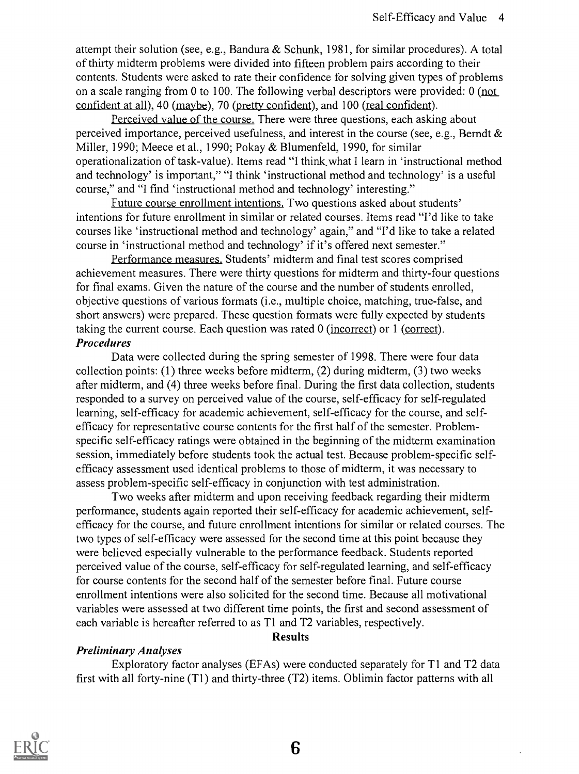attempt their solution (see, e.g., Bandura & Schunk, 1981, for similar procedures). A total of thirty midterm problems were divided into fifteen problem pairs according to their contents. Students were asked to rate their confidence for solving given types of problems on a scale ranging from 0 to 100. The following verbal descriptors were provided: 0 (not confident at all), 40 (maybe), 70 (pretty confident), and 100 (real confident).

Perceived value of the course. There were three questions, each asking about perceived importance, perceived usefulness, and interest in the course (see, e.g., Berndt & Miller, 1990; Meece et al., 1990; Pokay & Blumenfeld, 1990, for similar operationalization of task-value). Items read "I think.what I learn in 'instructional method and technology' is important," "I think 'instructional method and technology' is a useful course," and "I find 'instructional method and technology' interesting."

Future course enrollment intentions. Two questions asked about students' intentions for future enrollment in similar or related courses. Items read "I'd like to take courses like 'instructional method and technology' again," and "I'd like to take a related course in 'instructional method and technology' if it's offered next semester."

Performance measures. Students' midterm and final test scores comprised achievement measures. There were thirty questions for midterm and thirty-four questions for final exams. Given the nature of the course and the number of students enrolled, objective questions of various formats (i.e., multiple choice, matching, true-false, and short answers) were prepared. These question formats were fully expected by students taking the current course. Each question was rated 0 (incorrect) or 1 (correct). Procedures

Data were collected during the spring semester of 1998. There were four data collection points: (1) three weeks before midterm, (2) during midterm, (3) two weeks after midterm, and (4) three weeks before final. During the first data collection, students responded to a survey on perceived value of the course, self-efficacy for self-regulated learning, self-efficacy for academic achievement, self-efficacy for the course, and selfefficacy for representative course contents for the first half of the semester. Problemspecific self-efficacy ratings were obtained in the beginning of the midterm examination session, immediately before students took the actual test. Because problem-specific selfefficacy assessment used identical problems to those of midterm, it was necessary to assess problem-specific self-efficacy in conjunction with test administration.

Two weeks after midterm and upon receiving feedback regarding their midterm performance, students again reported their self-efficacy for academic achievement, selfefficacy for the course, and future enrollment intentions for similar or related courses. The two types of self-efficacy were assessed for the second time at this point because they were believed especially vulnerable to the performance feedback. Students reported perceived value of the course, self-efficacy for self-regulated learning, and self-efficacy for course contents for the second half of the semester before final. Future course enrollment intentions were also solicited for the second time. Because all motivational variables were assessed at two different time points, the first and second assessment of each variable is hereafter referred to as Ti and T2 variables, respectively.

#### **Results**

### Preliminary Analyses

Exploratory factor analyses (EFAs) were conducted separately for T1 and T2 data first with all forty-nine (Ti) and thirty-three (T2) items. Oblimin factor patterns with all

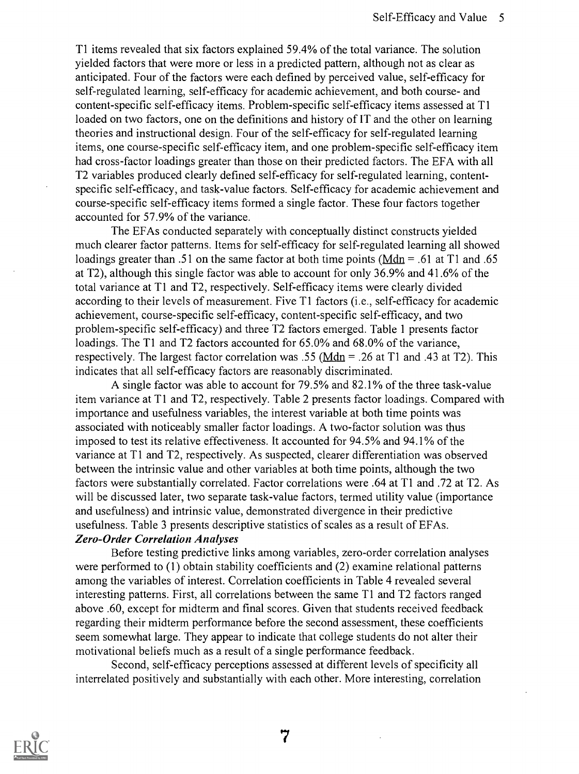T1 items revealed that six factors explained 59.4% of the total variance. The solution yielded factors that were more or less in a predicted pattern, although not as clear as anticipated. Four of the factors were each defined by perceived value, self-efficacy for self-regulated learning, self-efficacy for academic achievement, and both course- and content-specific self-efficacy items. Problem-specific self-efficacy items assessed at T1 loaded on two factors, one on the definitions and history of IT and the other on learning theories and instructional design. Four of the self-efficacy for self-regulated learning items, one course-specific self-efficacy item, and one problem-specific self-efficacy item had cross-factor loadings greater than those on their predicted factors. The EFA with all T2 variables produced clearly defined self-efficacy for self-regulated learning, contentspecific self-efficacy, and task-value factors. Self-efficacy for academic achievement and course-specific self-efficacy items formed a single factor. These four factors together accounted for 57.9% of the variance.

The EFAs conducted separately with conceptually distinct constructs yielded much clearer factor patterns. Items for self-efficacy for self-regulated learning all showed loadings greater than .51 on the same factor at both time points ( $Mdn = .61$  at T1 and .65 at T2), although this single factor was able to account for only 36.9% and 41.6% of the total variance at T1 and T2, respectively. Self-efficacy items were clearly divided according to their levels of measurement. Five T1 factors (i.e., self-efficacy for academic achievement, course-specific self-efficacy, content-specific self-efficacy, and two problem-specific self-efficacy) and three T2 factors emerged. Table 1 presents factor loadings. The T1 and T2 factors accounted for 65.0% and 68.0% of the variance, respectively. The largest factor correlation was .55 ( $Mdn = .26$  at T1 and .43 at T2). This</u> indicates that all self-efficacy factors are reasonably discriminated.

A single factor was able to account for 79.5% and 82.1% of the three task-value item variance at T1 and T2, respectively. Table 2 presents factor loadings. Compared with importance and usefulness variables, the interest variable at both time points was associated with noticeably smaller factor loadings. A two-factor solution was thus imposed to test its relative effectiveness. It accounted for 94.5% and 94.1% of the variance at Ti and T2, respectively. As suspected, clearer differentiation was observed between the intrinsic value and other variables at both time points, although the two factors were substantially correlated. Factor correlations were .64 at Ti and .72 at T2. As will be discussed later, two separate task-value factors, termed utility value (importance and usefulness) and intrinsic value, demonstrated divergence in their predictive usefulness. Table 3 presents descriptive statistics of scales as a result of EFAs. Zero-Order Correlation Analyses

Before testing predictive links among variables, zero-order correlation analyses were performed to (1) obtain stability coefficients and (2) examine relational patterns among the variables of interest. Correlation coefficients in Table 4 revealed several interesting patterns. First, all correlations between the same T1 and T2 factors ranged above .60, except for midterm and final scores. Given that students received feedback regarding their midterm performance before the second assessment, these coefficients seem somewhat large. They appear to indicate that college students do not alter their motivational beliefs much as a result of a single performance feedback.

Second, self-efficacy perceptions assessed at different levels of specificity all interrelated positively and substantially with each other. More interesting, correlation

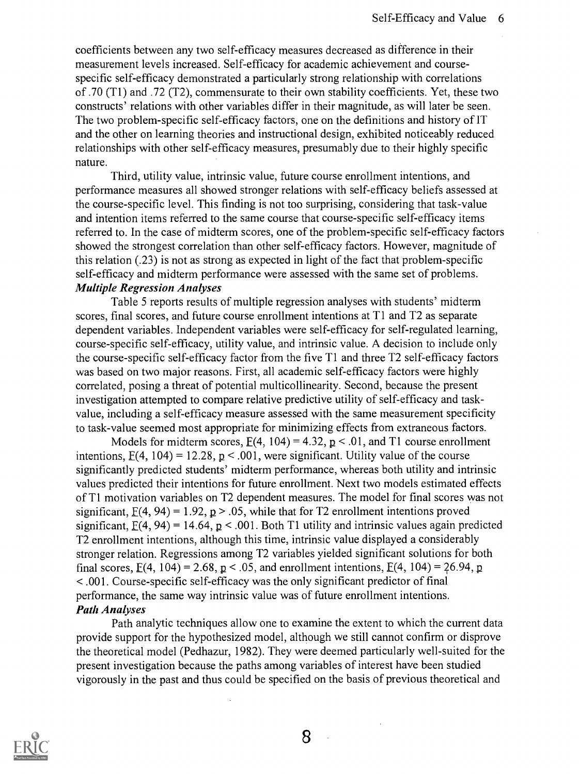coefficients between any two self-efficacy measures decreased as difference in their measurement levels increased. Self-efficacy for academic achievement and coursespecific self-efficacy demonstrated a particularly strong relationship with correlations of .70 (T1) and .72 (T2), commensurate to their own stability coefficients. Yet, these two constructs' relations with other variables differ in their magnitude, as will later be seen. The two problem-specific self-efficacy factors, one on the definitions and history of IT and the other on learning theories and instructional design, exhibited noticeably reduced relationships with other self-efficacy measures, presumably due to their highly specific nature.

Third, utility value, intrinsic value, future course enrollment intentions, and performance measures all showed stronger relations with self-efficacy beliefs assessed at the course-specific level. This finding is not too surprising, considering that task-value and intention items referred to the same course that course-specific self-efficacy items referred to. In the case of midterm scores, one of the problem-specific self-efficacy factors showed the strongest correlation than other self-efficacy factors. However, magnitude of this relation (.23) is not as strong as expected in light of the fact that problem-specific self-efficacy and midterm performance were assessed with the same set of problems. Multiple Regression Analyses

Table 5 reports results of multiple regression analyses with students' midterm scores, final scores, and future course enrollment intentions at T1 and T2 as separate dependent variables. Independent variables were self-efficacy for self-regulated learning, course-specific self-efficacy, utility value, and intrinsic value. A decision to include only the course-specific self-efficacy factor from the five T1 and three T2 self-efficacy factors was based on two major reasons. First, all academic self-efficacy factors were highly correlated, posing a threat of potential multicollinearity. Second, because the present investigation attempted to compare relative predictive utility of self-efficacy and taskvalue, including a self-efficacy measure assessed with the same measurement specificity to task-value seemed most appropriate for minimizing effects from extraneous factors.

Models for midterm scores,  $E(4, 104) = 4.32$ ,  $p < .01$ , and T1 course enrollment intentions,  $E(4, 104) = 12.28$ ,  $p < .001$ , were significant. Utility value of the course significantly predicted students' midterm performance, whereas both utility and intrinsic values predicted their intentions for future enrollment. Next two models estimated effects of Ti motivation variables on T2 dependent measures. The model for final scores was not significant,  $E(4, 94) = 1.92$ ,  $p > .05$ , while that for T2 enrollment intentions proved significant,  $E(4, 94) = 14.64$ ,  $p < .001$ . Both T1 utility and intrinsic values again predicted T2 enrollment intentions, although this time, intrinsic value displayed a considerably stronger relation. Regressions among T2 variables yielded significant solutions for both final scores,  $E(4, 104) = 2.68$ ,  $p < .05$ , and enrollment intentions,  $E(4, 104) = 26.94$ , p < .001. Course-specific self-efficacy was the only significant predictor of final performance, the same way intrinsic value was of future enrollment intentions. Path Analyses

Path analytic techniques allow one to examine the extent to which the current data provide support for the hypothesized model, although we still cannot confirm or disprove the theoretical model (Pedhazur, 1982). They were deemed particularly well-suited for the present investigation because the paths among variables of interest have been studied vigorously in the past and thus could be specified on the basis of previous theoretical and

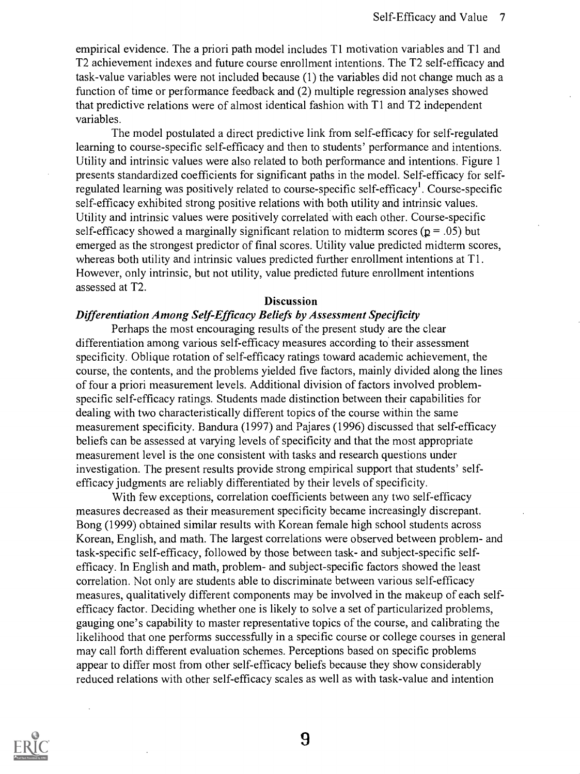empirical evidence. The a priori path model includes T1 motivation variables and T1 and T2 achievement indexes and future course enrollment intentions. The T2 self-efficacy and task-value variables were not included because (1) the variables did not change much as a function of time or performance feedback and (2) multiple regression analyses showed that predictive relations were of almost identical fashion with T1 and T2 independent variables.

The model postulated a direct predictive link from self-efficacy for self-regulated learning to course-specific self-efficacy and then to students' performance and intentions. Utility and intrinsic values were also related to both performance and intentions. Figure 1 presents standardized coefficients for significant paths in the model. Self-efficacy for selfregulated learning was positively related to course-specific self-efficacy<sup>1</sup>. Course-specific self-efficacy exhibited strong positive relations with both utility and intrinsic values. Utility and intrinsic values were positively correlated with each other. Course-specific self-efficacy showed a marginally significant relation to midterm scores ( $p = .05$ ) but emerged as the strongest predictor of final scores. Utility value predicted midterm scores, whereas both utility and intrinsic values predicted further enrollment intentions at T1. However, only intrinsic, but not utility, value predicted future enrollment intentions assessed at T2.

#### **Discussion**

#### Differentiation Among Self-Efficacy Beliefs by Assessment Specificity

Perhaps the most encouraging results of the present study are the clear differentiation among various self-efficacy measures according to their assessment specificity. Oblique rotation of self-efficacy ratings toward academic achievement, the course, the contents, and the problems yielded five factors, mainly divided along the lines of four a priori measurement levels. Additional division of factors involved problemspecific self-efficacy ratings. Students made distinction between their capabilities for dealing with two characteristically different topics of the course within the same measurement specificity. Bandura (1997) and Pajares (1996) discussed that self-efficacy beliefs can be assessed at varying levels of specificity and that the most appropriate measurement level is the one consistent with tasks and research questions under investigation. The present results provide strong empirical support that students' selfefficacy judgments are reliably differentiated by their levels of specificity.

With few exceptions, correlation coefficients between any two self-efficacy measures decreased as their measurement specificity became increasingly discrepant. Bong (1999) obtained similar results with Korean female high school students across Korean, English, and math. The largest correlations were observed between problem- and task-specific self-efficacy, followed by those between task- and subject-specific selfefficacy. In English and math, problem- and subject-specific factors showed the least correlation. Not only are students able to discriminate between various self-efficacy measures, qualitatively different components may be involved in the makeup of each selfefficacy factor. Deciding whether one is likely to solve a set of particularized problems, gauging one's capability to master representative topics of the course, and calibrating the likelihood that one performs successfully in a specific course or college courses in general may call forth different evaluation schemes. Perceptions based on specific problems appear to differ most from other self-efficacy beliefs because they show considerably reduced relations with other self-efficacy scales as well as with task-value and intention

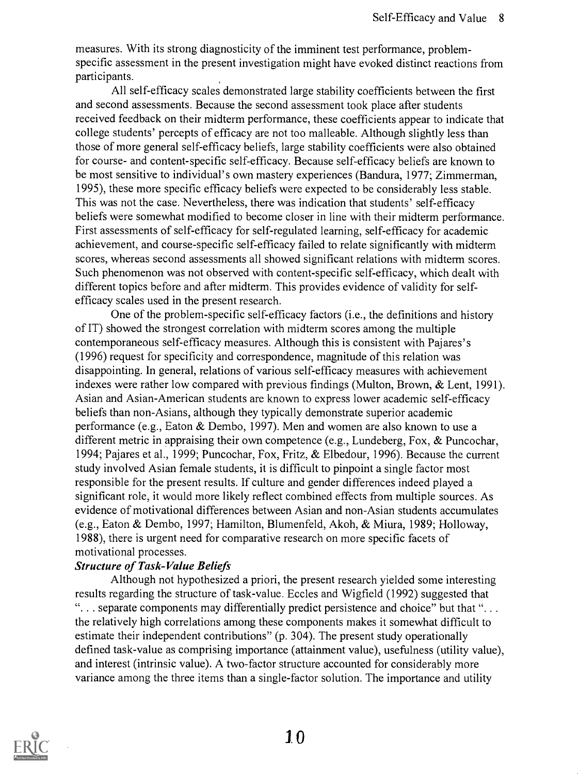measures. With its strong diagnosticity of the imminent test performance, problemspecific assessment in the present investigation might have evoked distinct reactions from participants.

All self-efficacy scales demonstrated large stability coefficients between the first and second assessments. Because the second assessment took place after students received feedback on their midterm performance, these coefficients appear to indicate that college students' percepts of efficacy are not too malleable. Although slightly less than those of more general self-efficacy beliefs, large stability coefficients were also obtained for course- and content-specific self-efficacy. Because self-efficacy beliefs are known to be most sensitive to individual's own mastery experiences (Bandura, 1977; Zimmerman, 1995), these more specific efficacy beliefs were expected to be considerably less stable. This was not the case. Nevertheless, there was indication that students' self-efficacy beliefs were somewhat modified to become closer in line with their midterm performance. First assessments of self-efficacy for self-regulated learning, self-efficacy for academic achievement, and course-specific self-efficacy failed to relate significantly with midterm scores, whereas second assessments all showed significant relations with midterm scores. Such phenomenon was not observed with content-specific self-efficacy, which dealt with different topics before and after midterm. This provides evidence of validity for selfefficacy scales used in the present research.

One of the problem-specific self-efficacy factors (i.e., the definitions and history of IT) showed the strongest correlation with midterm scores among the multiple contemporaneous self-efficacy measures. Although this is consistent with Pajares's (1996) request for specificity and correspondence, magnitude of this relation was disappointing. In general, relations of various self-efficacy measures with achievement indexes were rather low compared with previous findings (Multon, Brown, & Lent, 1991). Asian and Asian-American students are known to express lower academic self-efficacy beliefs than non-Asians, although they typically demonstrate superior academic performance (e.g., Eaton & Dembo, 1997). Men and women are also known to use a different metric in appraising their own competence (e.g., Lundeberg, Fox, & Puncochar, 1994; Pajares et al., 1999; Puncochar, Fox, Fritz, & Elbedour, 1996). Because the current study involved Asian female students, it is difficult to pinpoint a single factor most responsible for the present results. If culture and gender differences indeed played a significant role, it would more likely reflect combined effects from multiple sources. As evidence of motivational differences between Asian and non-Asian students accumulates (e.g., Eaton & Dembo, 1997; Hamilton, Blumenfeld, Akoh, & Miura, 1989; Holloway, 1988), there is urgent need for comparative research on more specific facets of motivational processes.

#### Structure of Task-Value Beliefs

Although not hypothesized a priori, the present research yielded some interesting results regarding the structure of task-value. Eccles and Wigfield (1992) suggested that . . separate components may differentially predict persistence and choice" but that ". . . the relatively high correlations among these components makes it somewhat difficult to estimate their independent contributions" (p. 304). The present study operationally defined task-value as comprising importance (attainment value), usefulness (utility value), and interest (intrinsic value). A two-factor structure accounted for considerably more variance among the three items than a single-factor solution. The importance and utility

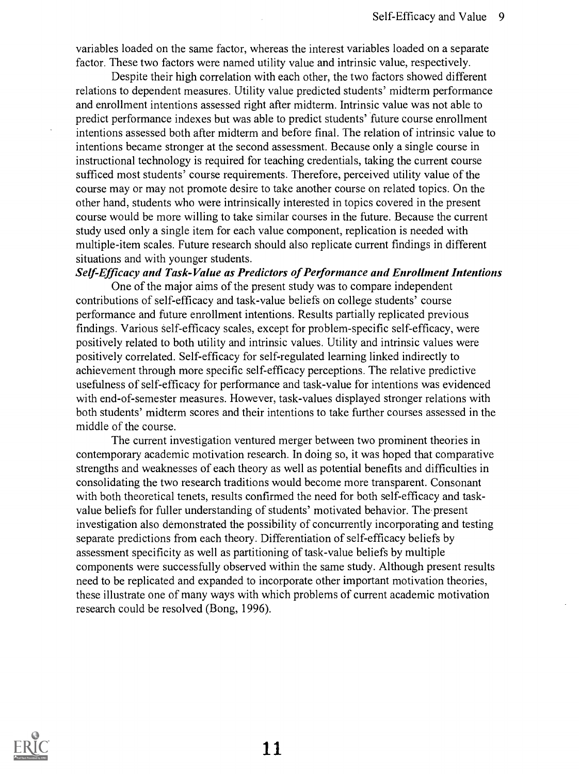variables loaded on the same factor, whereas the interest variables loaded on a separate factor. These two factors were named utility value and intrinsic value, respectively.

Despite their high correlation with each other, the two factors showed different relations to dependent measures. Utility value predicted students' midterm performance and enrollment intentions assessed right after midterm. Intrinsic value was not able to predict performance indexes but was able to predict students' future course enrollment intentions assessed both after midterm and before final. The relation of intrinsic value to intentions became stronger at the second assessment. Because only a single course in instructional technology is required for teaching credentials, taking the current course sufficed most students' course requirements. Therefore, perceived utility value of the course may or may not promote desire to take another course on related topics. On the other hand, students who were intrinsically interested in topics covered in the present course would be more willing to take similar courses in the future. Because the current study used only a single item for each value component, replication is needed with multiple-item scales. Future research should also replicate current findings in different situations and with younger students.

#### Self-Efficacy and Task-Value as Predictors of Performance and Enrollment Intentions

One of the major aims of the present study was to compare independent contributions of self-efficacy and task-value beliefs on college students' course performance and future enrollment intentions. Results partially replicated previous findings. Various self-efficacy scales, except for problem-specific self-efficacy, were positively related to both utility and intrinsic values. Utility and intrinsic values were positively correlated. Self-efficacy for self-regulated learning linked indirectly to achievement through more specific self-efficacy perceptions. The relative predictive usefulness of self-efficacy for performance and task-value for intentions was evidenced with end-of-semester measures. However, task-values displayed stronger relations with both students' midterm scores and their intentions to take further courses assessed in the middle of the course.

The current investigation ventured merger between two prominent theories in contemporary academic motivation research. In doing so, it was hoped that comparative strengths and weaknesses of each theory as well as potential benefits and difficulties in consolidating the two research traditions would become more transparent. Consonant with both theoretical tenets, results confirmed the need for both self-efficacy and taskvalue beliefs for fuller understanding of students' motivated behavior. The present investigation also demonstrated the possibility of concurrently incorporating and testing separate predictions from each theory. Differentiation of self-efficacy beliefs by assessment specificity as well as partitioning of task-value beliefs by multiple components were successfully observed within the same study. Although present results need to be replicated and expanded to incorporate other important motivation theories, these illustrate one of many ways with which problems of current academic motivation research could be resolved (Bong, 1996).

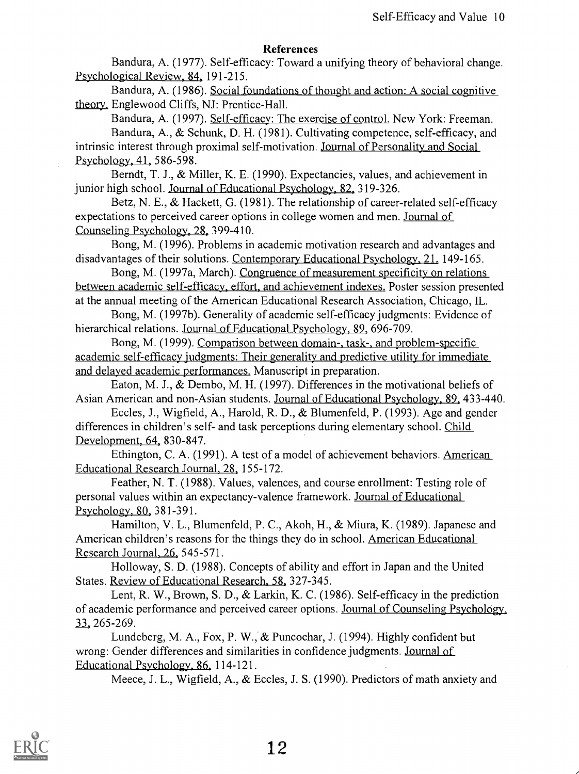#### References

Bandura, A. (1977). Self-efficacy: Toward a unifying theory of behavioral change. Psychological Review, 84, 191-215.

Bandura, A. (1986). Social foundations of thought and action: A social cognitive theory. Englewood Cliffs, NJ: Prentice-Hall.

Bandura, A. (1997). Self-efficacy: The exercise of control. New York: Freeman. Bandura, A., & Schunk, D. H. (1981). Cultivating competence, self-efficacy, and intrinsic interest through proximal self-motivation. Journal of Personality and Social Psychology, 41, 586-598.

Berndt, T. J., & Miller, K. E. (1990). Expectancies, values, and achievement in junior high school. Journal of Educational Psychology, 82, 319-326.

Betz, N. E., & Hackett, G. (1981). The relationship of career-related self-efficacy expectations to perceived career options in college women and men. Journal of Counseling Psychology, 28, 399-410.

Bong, M. (1996). Problems in academic motivation research and advantages and disadvantages of their solutions. Contemporary Educational Psychology, 21, 149-165.

Bong, M. (1997a, March). Congruence of measurement specificity on relations between academic self-efficacy, effort, and achievement indexes. Poster session presented at the annual meeting of the American Educational Research Association, Chicago, IL.

Bong, M. (1997b). Generality of academic self-efficacy judgments: Evidence of hierarchical relations. Journal of Educational Psychology, 89, 696-709.

Bong, M. (1999). Comparison between domain-, task-, and problem-specific academic self-efficacy judgments: Their generality and predictive utility for immediate and delayed academic performances. Manuscript in preparation.

Eaton, M. J., & Dembo, M. H. (1997). Differences in the motivational beliefs of Asian American and non-Asian students. Journal of Educational Psychology, 89, 433-440.

Eccles, J., Wigfield, A., Harold, R. D., & Blumenfeld, P. (1993). Age and gender differences in children's self- and task perceptions during elementary school. Child Development, 64, 830-847.

Ethington, C. A. (1991). A test of a model of achievement behaviors. American Educational Research Journal, 28, 155-172.

Feather, N. T. (1988). Values, valences, and course enrollment: Testing role of personal values within an expectancy-valence framework. Journal of Educational Psychology, 80, 381-391.

Hamilton, V. L., Blumenfeld, P. C., Akoh, H., & Miura, K. (1989). Japanese and American children's reasons for the things they do in school. American Educational Research Journal, 26, 545-571.

Holloway, S. D. (1988). Concepts of ability and effort in Japan and the United States. Review of Educational Research, 58, 327-345.

Lent, R. W., Brown, S. D., & Larkin, K. C. (1986). Self-efficacy in the prediction of academic performance and perceived career options. Journal of Counseling Psychology, 33, 265-269.

Lundeberg, M. A., Fox, P. W., & Puncochar, J. (1994). Highly confident but wrong: Gender differences and similarities in confidence judgments. Journal of Educational Psychology, 86, 114-121.

Meece, J. L., Wigfield, A., & Eccles, J. S. (1990). Predictors of math anxiety and

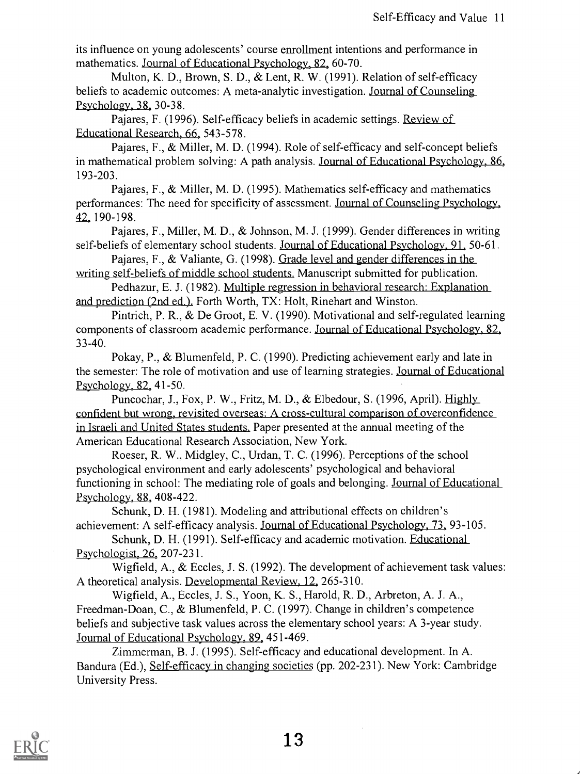its influence on young adolescents' course enrollment intentions and performance in mathematics. Journal of Educational Psychology, 82, 60-70.

Multon, K. D., Brown, S. D., & Lent, R. W. (1991). Relation of self-efficacy beliefs to academic outcomes: A meta-analytic investigation. Journal of Counseling Psychology, 38, 30-38.

Pajares, F. (1996). Self-efficacy beliefs in academic settings. Review of Educational Research, 66, 543-578.

Pajares, F., & Miller, M. D. (1994). Role of self-efficacy and self-concept beliefs in mathematical problem solving: A path analysis. Journal of Educational Psychology, 86, 193-203.

Pajares, F., & Miller, M. D. (1995). Mathematics self-efficacy and mathematics performances: The need for specificity of assessment. Journal of Counseling Psychology, 42, 190-198.

Pajares, F., Miller, M. D., & Johnson, M. J. (1999). Gender differences in writing self-beliefs of elementary school students. Journal of Educational Psychology, 91, 50-61.

Pajares, F., & Valiante, G. (1998). Grade level and gender differences in the writing self-beliefs of middle school students. Manuscript submitted for publication.

Pedhazur, E. J. (1982). Multiple regression in behavioral research: Explanation and prediction (2nd ed.). Forth Worth, TX: Holt, Rinehart and Winston.

Pintrich, P. R., & De Groot, E. V. (1990). Motivational and self-regulated learning components of classroom academic performance. Journal of Educational Psychology, 82, 33-40.

Pokay, P., & Blumenfeld, P. C. (1990). Predicting achievement early and late in the semester: The role of motivation and use of learning strategies. Journal of Educational Psychology, 82, 41-50.

Puncochar, J., Fox, P. W., Fritz, M. D., & Elbedour, S. (1996, April). Highly confident but wrong, revisited overseas: A cross-cultural comparison of overconfidence in Israeli and United States students. Paper presented at the annual meeting of the American Educational Research Association, New York.

Roeser, R. W., Midgley, C., Urdan, T. C. (1996). Perceptions of the school psychological environment and early adolescents' psychological and behavioral functioning in school: The mediating role of goals and belonging. <u>Journal of Educational</u> Psychology, 88, 408-422.

Schunk, D. H. (1981). Modeling and attributional effects on children's achievement: A self-efficacy analysis. Journal of Educational Psychology, 73, 93-105.

Schunk, D. H. (1991). Self-efficacy and academic motivation. Educational Psychologist, 26, 207-231.

Wigfield, A., & Eccles, J. S. (1992). The development of achievement task values: A theoretical analysis. Developmental Review. 12, 265-310.

Wigfield, A., Eccles, J. S., Yoon, K. S., Harold, R. D., Arbreton, A. J. A., Freedman-Doan, C., & Blumenfeld, P. C. (1997). Change in children's competence beliefs and subjective task values across the elementary school years: A 3-year study. Journal of Educational Psychology. 89, 451-469.

Zimmerman, B. J. (1995). Self-efficacy and educational development. In A. Bandura (Ed.), Self-efficacy in changing societies (pp. 202-231). New York: Cambridge University Press.

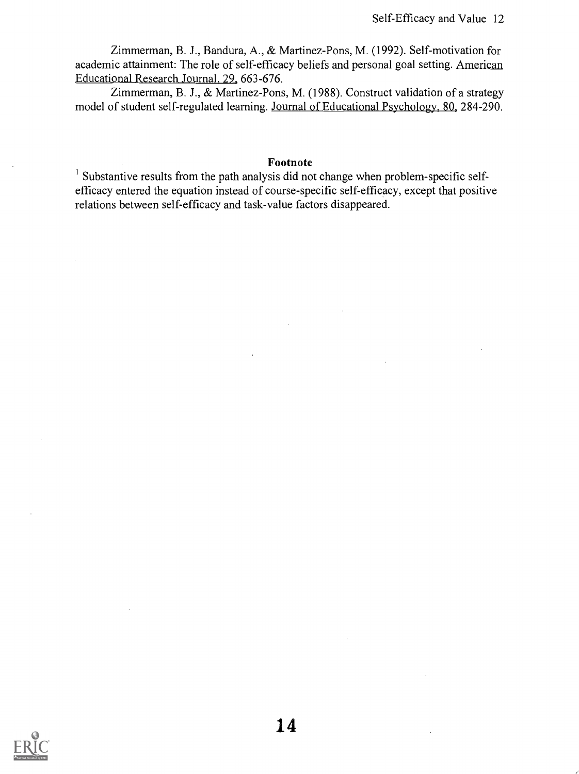Zimmerman, B. J., Bandura, A., & Martinez-Pons, M. (1992). Self-motivation for academic attainment: The role of self-efficacy beliefs and personal goal setting. American Educational Research Journal, 29, 663-676.

Zimmerman, B. J., & Martinez-Pons, M. (1988). Construct validation of a strategy model of student self-regulated learning. Journal of Educational Psychology. 80, 284-290.

#### Footnote

Substantive results from the path analysis did not change when problem-specific selfefficacy entered the equation instead of course-specific self-efficacy, except that positive relations between self-efficacy and task-value factors disappeared.

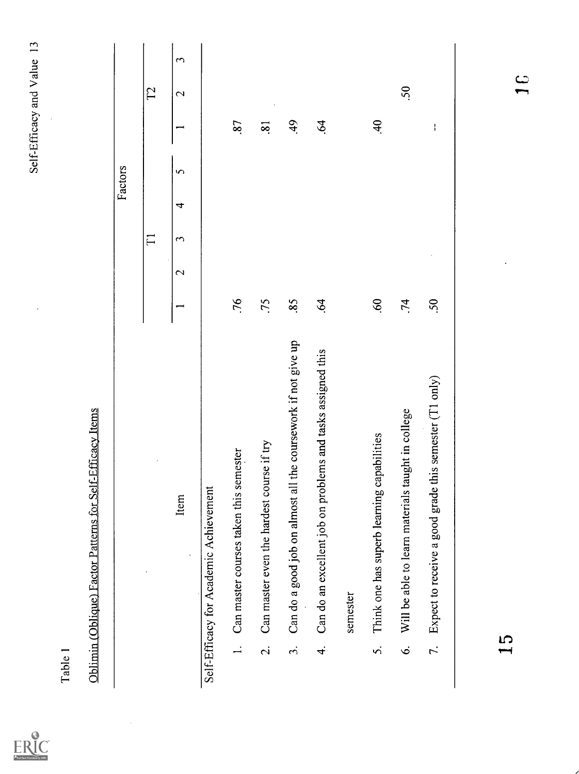$\ddot{\phantom{0}}$ 

ERIC

 $\ddot{\phantom{a}}$ 

|                |                                                                  |                           |   |                      |   | Factors        |                     |                   |                       |
|----------------|------------------------------------------------------------------|---------------------------|---|----------------------|---|----------------|---------------------|-------------------|-----------------------|
|                |                                                                  |                           |   | $\Box$               |   |                |                     | $\Gamma2$         |                       |
|                | Item                                                             |                           | 2 | $\mathbf{\tilde{c}}$ | 4 | $\overline{5}$ |                     | $\mathbf{\Omega}$ | $\tilde{\phantom{0}}$ |
|                | Self-Efficacy for Academic Achievement                           |                           |   |                      |   |                |                     |                   |                       |
|                | Can master courses taken this semester                           | .76                       |   |                      |   |                | 87                  |                   |                       |
| $\overline{c}$ | Can master even the hardest course if try                        | .75                       |   |                      |   |                | $\ddot{\mathbf{S}}$ |                   |                       |
| $\dot{5}$      | the coursework if not give up<br>Can do a good job on almost all | 85                        |   |                      |   |                | 49                  |                   |                       |
| 4.             | Can do an excellent job on problems and tasks assigned this      | $\ddot{\mathcal{L}}$      |   |                      |   |                | 64                  |                   |                       |
|                | semester                                                         |                           |   |                      |   |                |                     |                   |                       |
| s.             | Think one has superb learning capabilities                       | $\ddot{\mathcal{O}}$      |   |                      |   |                | $\ddot{ }$          |                   |                       |
| Ġ.             | Will be able to learn materials taught in college                | .74                       |   |                      |   |                |                     | 50                |                       |
| 7.             | this semester (T1 only)<br>Expect to receive a good grade        | $\widetilde{\mathcal{S}}$ |   |                      |   |                | ł                   |                   |                       |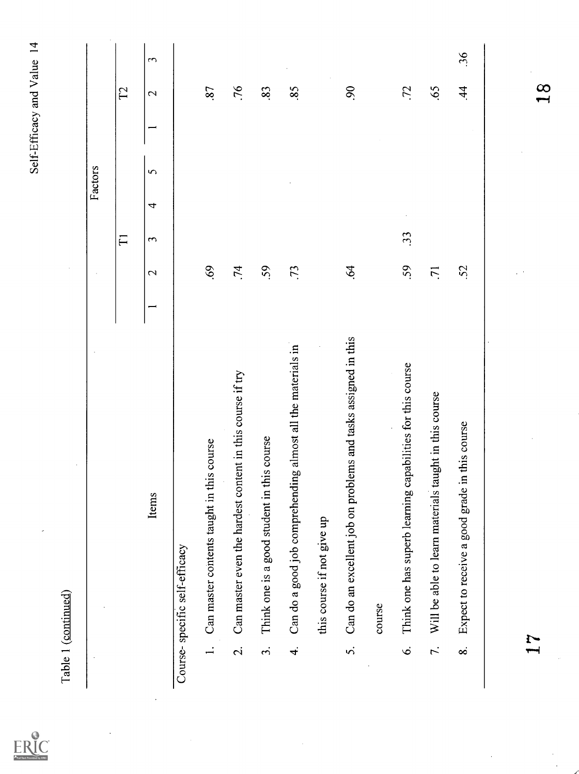$\label{eq:ex1} \underset{\text{A<sub>full test</sub> provided by ERC}}{\sum\limits_{\text{A<sub>full test</sub> provided by ERC}}}$ 

|                          | Table 1 (continued)                                            |                          | $\lambda$         |                     |   |          |                          |                   |                      |
|--------------------------|----------------------------------------------------------------|--------------------------|-------------------|---------------------|---|----------|--------------------------|-------------------|----------------------|
|                          |                                                                |                          | $\cdot$           |                     |   | Factors  |                          |                   |                      |
|                          |                                                                |                          |                   | $\overline{\Gamma}$ |   |          |                          | $\Gamma$          |                      |
|                          | Items                                                          | $\overline{\phantom{0}}$ | $\mathbf{\Omega}$ | $\tilde{ }$         | 4 | $\sigma$ | $\overline{\phantom{0}}$ | $\mathbf{\Omega}$ | $\tilde{\mathbf{c}}$ |
|                          | Course-specific self-efficacy                                  |                          |                   |                     |   |          |                          |                   |                      |
|                          | Can master contents taught in this course<br>$\frac{1}{2}$     |                          | 69.               |                     |   |          |                          | 87                |                      |
| $\overline{\mathcal{L}}$ | Can master even the hardest content in this course if try      |                          | .74               |                     |   |          |                          | .76               |                      |
| $\ddot{3}$               | Think one is a good student in this course                     |                          | 59                |                     |   |          |                          | 83                |                      |
| $\vec{r}$                | Can do a good job comprehending almost all the materials in    |                          | .73               |                     |   |          |                          | 85                |                      |
|                          | this course if not give up                                     |                          |                   |                     |   |          |                          |                   |                      |
| $\dot{\delta}$           | Can do an excellent job on problems and tasks assigned in this |                          | $\ddot{q}$        |                     |   |          |                          | $\overline{6}$    |                      |
|                          | course                                                         |                          |                   |                     |   |          |                          |                   |                      |
| $\acute{\circ}$          | capabilities for this course<br>Think one has superb learning  |                          | 59                | 33                  |   |          |                          | .72               |                      |
| $\overline{\tau}$ .      | taught in this course<br>Will be able to learn materials       |                          | $\overline{71}$   |                     |   |          |                          | .65               |                      |
| $\infty$                 | Expect to receive a good grade in this course                  |                          | 52                |                     |   |          |                          | $\dot{4}$         | 36                   |
|                          |                                                                |                          |                   |                     |   |          |                          |                   |                      |
|                          | $\mathbf{r}$                                                   |                          |                   |                     |   |          |                          | $\frac{8}{1}$     |                      |
|                          |                                                                |                          |                   |                     |   |          |                          |                   |                      |
|                          |                                                                |                          |                   |                     |   |          |                          |                   |                      |
|                          |                                                                |                          |                   |                     |   |          |                          |                   |                      |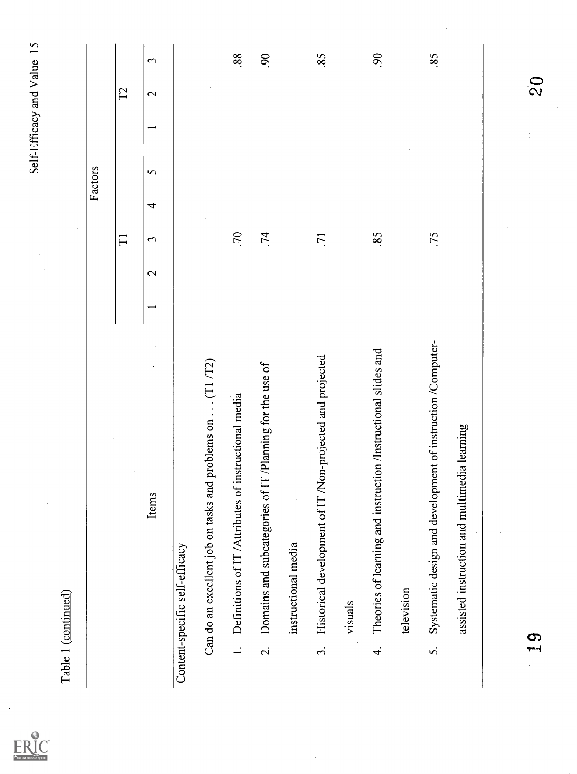$\ddot{\phantom{a}}$ 

 $ERC$ 

|                          |                                                                |                   |                       |   | Factors  |    |                   |                       |
|--------------------------|----------------------------------------------------------------|-------------------|-----------------------|---|----------|----|-------------------|-----------------------|
|                          |                                                                |                   | $\Gamma$              |   |          |    | $\Gamma$          |                       |
|                          | Items                                                          | $\mathbf{\Omega}$ | $\tilde{\phantom{0}}$ | 4 | $\sigma$ |    | $\mathbf{\Omega}$ | $\tilde{\phantom{0}}$ |
|                          | Content-specific self-efficacy                                 |                   |                       |   |          |    |                   |                       |
|                          | Can do an excellent job on tasks and problems on (T1 /T2)      |                   |                       |   |          |    | $\cdot$           |                       |
| $\overline{a}$           | Definitions of IT /Attributes of instructional media           |                   | $\mathcal{L}$         |   |          |    |                   | 88.                   |
| $\overline{\mathcal{L}}$ | Domains and subcategories of IT /Planning for the use of       |                   | .74                   |   |          |    |                   | $\overline{6}$        |
|                          | instructional media                                            |                   |                       |   |          |    |                   |                       |
| $\dot{\mathfrak{c}}$     | Historical development of IT /Non-projected and projected      |                   | $\overline{7}$        |   |          |    |                   | 85                    |
|                          | visuals                                                        |                   |                       |   |          |    |                   |                       |
| $\vec{r}$                | Theories of learning and instruction /Instructional slides and |                   | 85                    |   |          |    |                   | $\overline{6}$        |
|                          | television                                                     |                   |                       |   |          |    |                   |                       |
| $\dot{\delta}$           | Systematic design and development of instruction /Computer-    |                   | .75                   |   |          |    |                   | 85                    |
|                          | assisted instruction and multimedia learning                   |                   |                       |   |          |    |                   |                       |
|                          |                                                                |                   |                       |   |          |    |                   |                       |
|                          | 19                                                             |                   |                       |   |          | ţ. | $\frac{6}{2}$     |                       |
|                          |                                                                |                   |                       |   |          |    |                   |                       |
|                          |                                                                |                   |                       |   |          |    |                   |                       |

 $\frac{1}{2}$ 

 $\frac{1}{\sqrt{2}}$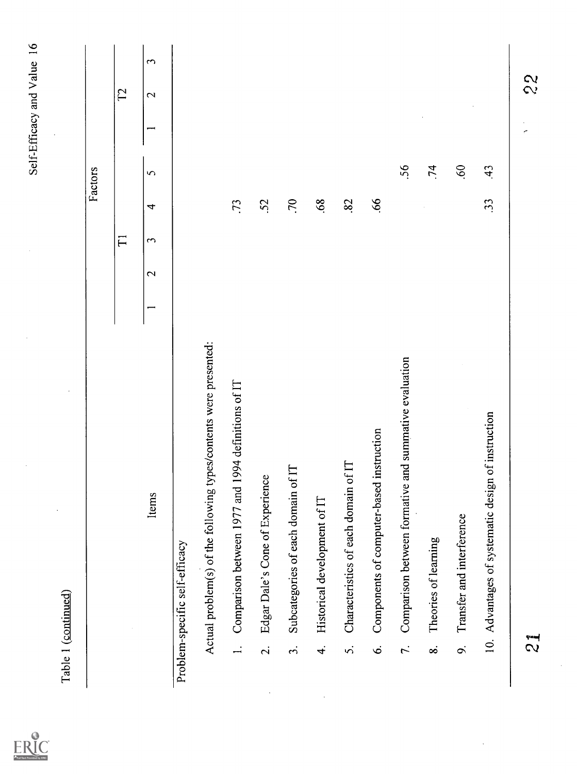|                          |                                                                      | $\overline{\Gamma}$                                                   |               |          |   | $\Gamma$          |
|--------------------------|----------------------------------------------------------------------|-----------------------------------------------------------------------|---------------|----------|---|-------------------|
|                          |                                                                      |                                                                       |               |          |   |                   |
|                          | Items                                                                | $\mathbf{\tilde{c}}$<br>$\mathbf{\Omega}$<br>$\overline{\phantom{0}}$ | 4             | $\sigma$ | ⇁ | $\mathbf{\Omega}$ |
|                          | Problem-specific self-efficacy                                       |                                                                       |               |          |   |                   |
|                          | types/contents were presented:<br>Actual problem(s) of the following |                                                                       |               |          |   |                   |
| $\frac{1}{1}$            | Comparison between 1977 and 1994 definitions of IT                   |                                                                       | $\mathcal{L}$ |          |   |                   |
| $\overline{\mathcal{N}}$ | Edgar Dale's Cone of Experience                                      |                                                                       | <b>S2</b>     |          |   |                   |
| $\ddot{\mathcal{S}}$     | Subcategories of each domain of IT                                   |                                                                       | .70           |          |   |                   |
| $\vec{r}$                | Historical development of IT                                         |                                                                       | .68           |          |   |                   |
| S.                       | Characteristics of each domain of IT                                 |                                                                       | 82            |          |   |                   |
| $\ddot{\circ}$           | Components of computer-based instruction                             |                                                                       | .66           |          |   |                   |
| $\tilde{\mathcal{L}}$    | Comparison between formative and summative evaluation                |                                                                       |               | 56       |   |                   |
| $\dot{\infty}$           | Theories of learning                                                 |                                                                       |               | .74      |   |                   |
| $\dot{\infty}$           | Transfer and interference                                            |                                                                       |               | 60       |   |                   |
|                          | 10. Advantages of systematic design of instruction                   |                                                                       | $\ddot{3}$    | 43       |   |                   |

 $\ddot{\phantom{0}}$ 

Self-Efficacy and Value 16

l,

 $ERIC$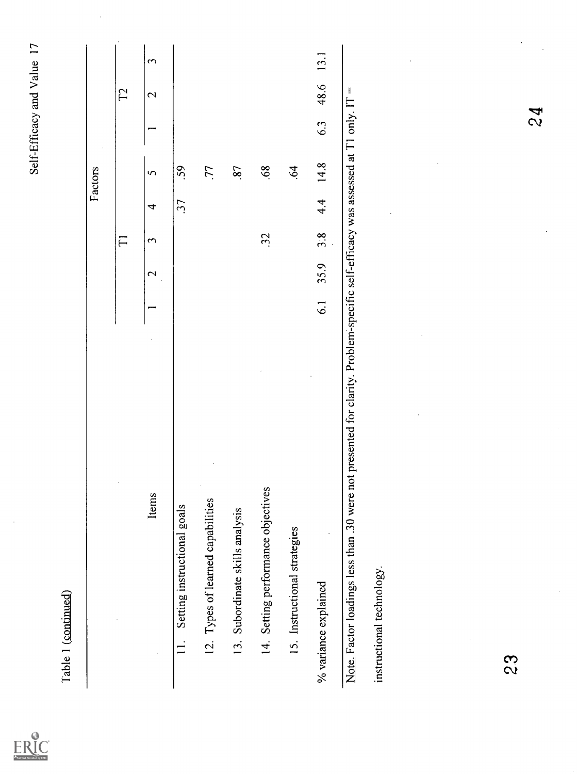|                                         |                                                                                                                                |                 |                                           |              |     | Factors    |     |                   |                      |
|-----------------------------------------|--------------------------------------------------------------------------------------------------------------------------------|-----------------|-------------------------------------------|--------------|-----|------------|-----|-------------------|----------------------|
|                                         |                                                                                                                                |                 |                                           | $\Gamma$     |     |            |     | $\Gamma$          |                      |
|                                         | Items                                                                                                                          |                 | $\mathbf{\Omega}$<br>$\ddot{\phantom{0}}$ | $\mathbf{c}$ | 4   | $\sigma$   |     | $\mathbf{\Omega}$ | $\tilde{\mathbf{c}}$ |
| Setting instructional goals<br>$\equiv$ |                                                                                                                                |                 |                                           |              | 37  | 59         |     |                   |                      |
| 12. Types of learned capabilities       |                                                                                                                                |                 |                                           |              |     | 77         |     |                   |                      |
| 13. Subordinate skills analysis         |                                                                                                                                |                 |                                           |              |     | $\ddot{s}$ |     |                   |                      |
| 14. Setting performance objectives      |                                                                                                                                |                 |                                           | 32           |     | 68         |     |                   |                      |
| 15. Instructional strategies            |                                                                                                                                |                 |                                           |              |     | $\dot{6}$  |     |                   |                      |
| % variance explained                    |                                                                                                                                | $\overline{61}$ | 35.9                                      | 3.8          | 4.4 | 14.8       | 6.3 | 48.6              | 13.1                 |
| instructional technology.               | Note. Factor loadings less than .30 were not presented for clarity. Problem-specific self-efficacy was assessed at T1 only. IT |                 |                                           |              |     |            |     | $\mathcal{H}$     |                      |
|                                         |                                                                                                                                |                 |                                           |              |     |            |     |                   |                      |
|                                         |                                                                                                                                |                 |                                           |              |     |            |     |                   |                      |
|                                         |                                                                                                                                |                 |                                           |              |     |            |     |                   |                      |
| 23                                      |                                                                                                                                |                 |                                           |              |     |            |     |                   |                      |
|                                         |                                                                                                                                |                 |                                           |              |     |            | 24  |                   |                      |

 $\ddot{\phantom{0}}$ 

ERIC

 $\ddot{\phantom{0}}$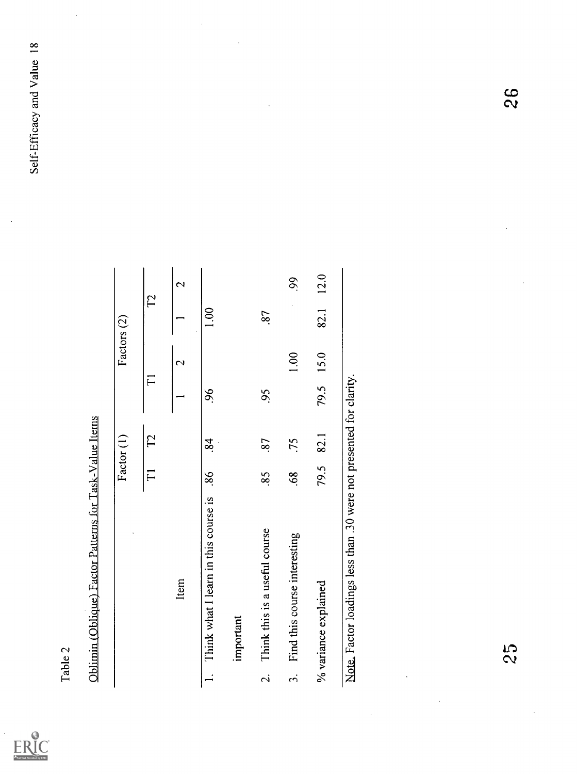$\ddot{\phantom{0}}$ 

 $\boxed{\prod\limits_{\mathbf{A}_{\text{fullTest}}}\prod\limits_{\text{Proofed} \text{ of } \mathbf{y}_{\text{EHC}}}}$ 

 $\ddot{\phantom{0}}$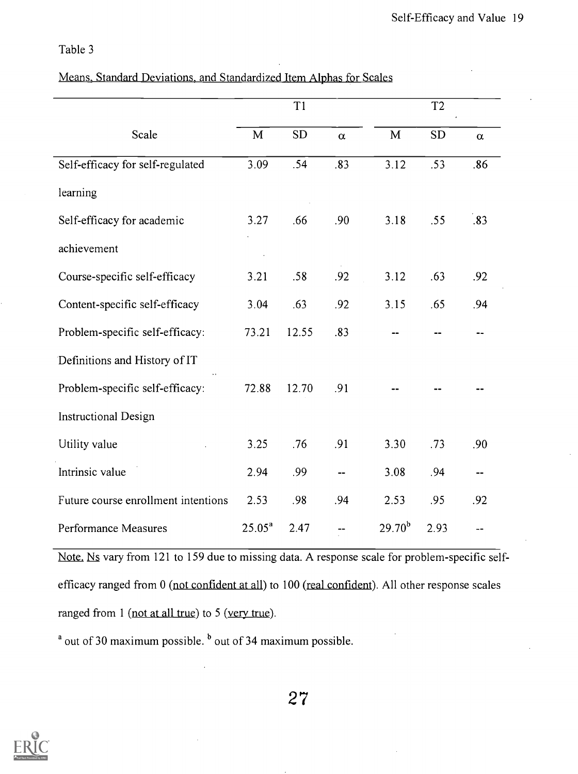# Table 3

|  | Means, Standard Deviations, and Standardized Item Alphas for Scales |  |
|--|---------------------------------------------------------------------|--|
|  |                                                                     |  |

|                                     |             | T <sub>1</sub> |          |             | T <sub>2</sub> |          |
|-------------------------------------|-------------|----------------|----------|-------------|----------------|----------|
| Scale                               | $\mathbf M$ | <b>SD</b>      | $\alpha$ | M           | <b>SD</b>      | $\alpha$ |
| Self-efficacy for self-regulated    | 3.09        | .54            | .83      | 3.12        | .53            | .86      |
| learning                            |             |                |          |             |                |          |
| Self-efficacy for academic          | 3.27        | .66            | .90      | 3.18        | .55            | .83      |
| achievement                         |             |                |          |             |                |          |
| Course-specific self-efficacy       | 3.21        | .58            | .92      | 3.12        | .63            | .92      |
| Content-specific self-efficacy      | 3.04        | .63            | .92      | 3.15        | .65            | .94      |
| Problem-specific self-efficacy:     | 73.21       | 12.55          | .83      |             |                |          |
| Definitions and History of IT       |             |                |          |             |                |          |
| Problem-specific self-efficacy:     | 72.88       | 12.70          | .91      |             |                |          |
| <b>Instructional Design</b>         |             |                |          |             |                |          |
| Utility value                       | 3.25        | .76            | .91      | 3.30        | .73            | .90      |
| Intrinsic value                     | 2.94        | .99            |          | 3.08        | .94            |          |
| Future course enrollment intentions | 2.53        | .98            | .94      | 2.53        | .95            | .92      |
| <b>Performance Measures</b>         | $25.05^a$   | 2.47           |          | $29.70^{b}$ | 2.93           |          |

Note. Ns vary from 121 to 159 due to missing data. A response scale for problem-specific selfefficacy ranged from 0 (not confident at all) to 100 (real confident). All other response scales ranged from 1 (not at all true) to 5 (very true).

 $a$  out of 30 maximum possible.  $b$  out of 34 maximum possible.

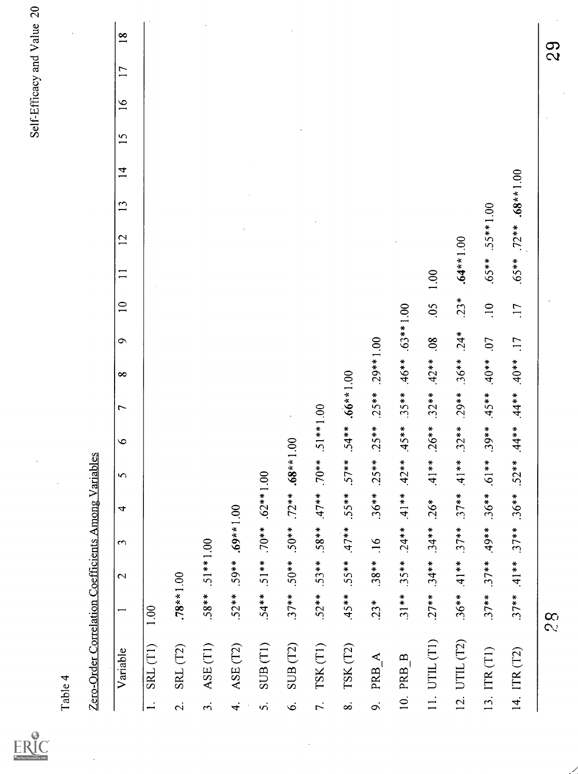| Full Text Provided by ERIC |
|----------------------------|

| 4<br>₹               |  |
|----------------------|--|
| ¢                    |  |
|                      |  |
| $\bar{\mathfrak{a}}$ |  |
|                      |  |

 $\ddot{\cdot}$ 

|                      | Table 4                                             |                          |                 |                          |                                 |          |              |                              |                  |                        |                 |                 |              |                  |                |                 |                 |        | Self-Efficacy and Value 20 |
|----------------------|-----------------------------------------------------|--------------------------|-----------------|--------------------------|---------------------------------|----------|--------------|------------------------------|------------------|------------------------|-----------------|-----------------|--------------|------------------|----------------|-----------------|-----------------|--------|----------------------------|
|                      | Zero-Order Correlation Coefficients Among Variables |                          |                 |                          |                                 |          |              |                              |                  |                        |                 |                 |              |                  |                |                 |                 |        |                            |
|                      | Variable                                            | $\overline{\phantom{0}}$ | $\mathbf{C}$    | $\sim$                   | 4                               | $\sim$   | $\circ$      | $\overline{ }$               | $\infty$         | $\bullet$              | $\overline{10}$ | $\overline{11}$ | 12           | 13               | $\overline{1}$ | $\overline{15}$ | $\overline{16}$ | 17     | $\frac{8}{18}$             |
|                      | $\text{SRL}(\text{T1})$                             | 1.00                     |                 |                          |                                 |          |              |                              |                  |                        |                 |                 |              |                  |                |                 |                 |        |                            |
| $\dot{\mathcal{D}}$  | SRL (T2)                                            | $.78**1.00$              |                 |                          |                                 |          |              |                              |                  |                        |                 |                 |              |                  |                |                 |                 |        |                            |
| $\dot{\mathfrak{c}}$ | ASE (T1)                                            | $.58**$                  | $.51**1.00$     |                          |                                 |          |              |                              |                  |                        |                 |                 |              |                  |                |                 |                 |        |                            |
| $\vec{r}$            | ASE (T2)                                            |                          |                 | $52**$ $59**$ $69**1.00$ |                                 |          |              |                              |                  |                        |                 |                 |              |                  |                |                 |                 |        |                            |
| $\dot{\mathbf{v}}$   | SUB(T1)                                             | $.54**$                  | $.51***$        |                          | $.70***.62***1.00$              |          |              |                              |                  |                        |                 |                 |              |                  |                |                 |                 |        |                            |
| Ġ                    | SUB <sub>(T2)</sub>                                 | $.37**$                  | $**65$ .        |                          | $.50***$ .72 ** .68 ** 1.00     |          |              |                              |                  |                        |                 |                 |              |                  |                |                 |                 |        |                            |
| $\vec{r}$ .          | TSK(T1)                                             |                          | $.52***$ .53 ** | $.58**$                  | $.47**$                         | $**01$ . | $.51***1.00$ |                              |                  |                        |                 |                 |              |                  |                |                 |                 |        |                            |
| $\dot{\infty}$       | TSK <sub>(T2)</sub>                                 | $.45**$                  | $.55***$        | $**17$                   | $.55***$                        | $57**$   | $.54**$      | $.66**1.00$                  |                  |                        |                 |                 |              |                  |                |                 |                 |        |                            |
| o.                   | PRB A                                               | $.23*$                   | $.38**$         | .16                      | $.36**$                         | $.25**$  | $.25***$     | $.25**$                      | $.29**1.00$      |                        |                 |                 |              |                  |                |                 |                 |        |                            |
|                      | 10. PRB B                                           | $.31***$                 | $.35***$        | $.24**$                  | $.41**$                         | $.42**$  | $.45**$      | $.35***$                     | $.46**$          | $.63***1.00$           |                 |                 |              |                  |                |                 |                 |        |                            |
|                      | 11. UTL(T1)                                         |                          |                 |                          | $.27**$ $.34**$ $.34***$ $.26*$ | $.41**$  |              | $.26***$ $.32***$ $.42**$ 08 |                  |                        | $.05$ 1.00      |                 |              |                  |                |                 |                 |        |                            |
|                      | 12. UTIL (T2)                                       | $.36**$                  | $.41**$         | $.37**$                  | $.37**$                         | $41**$   | $.32***$     |                              |                  | $.29**$ $.36**$ $.24*$ | $.23*$          | $.64**1.00$     |              |                  |                |                 |                 |        |                            |
|                      | 13. ITR (T1)                                        | $.37***$                 | $.37***$        | $**65$ .                 | $.36**$                         | $.61**$  | $.39**$      | $.45**$                      | $^{**}0*$        | 07                     | $\frac{10}{1}$  | $.65***$        | $.55***1.00$ |                  |                |                 |                 |        |                            |
|                      | 14. ITR (T2)                                        | $.37***$                 |                 |                          | $4**23$ $*** 37** 36** 52**$    |          | $.44**$      |                              | $L1$ ** 0+ ** 0+ |                        | $\overline{11}$ | $.65***$        |              | $72**$ .68**1.00 |                |                 |                 |        |                            |
|                      |                                                     | 28                       |                 |                          |                                 |          |              |                              |                  |                        |                 |                 |              |                  |                |                 |                 | S<br>2 |                            |
|                      |                                                     |                          |                 |                          |                                 |          |              |                              |                  |                        |                 |                 |              |                  |                |                 |                 |        |                            |
|                      |                                                     |                          |                 |                          |                                 |          |              |                              |                  |                        |                 |                 |              |                  |                |                 |                 |        |                            |

 $\ddot{\phantom{0}}$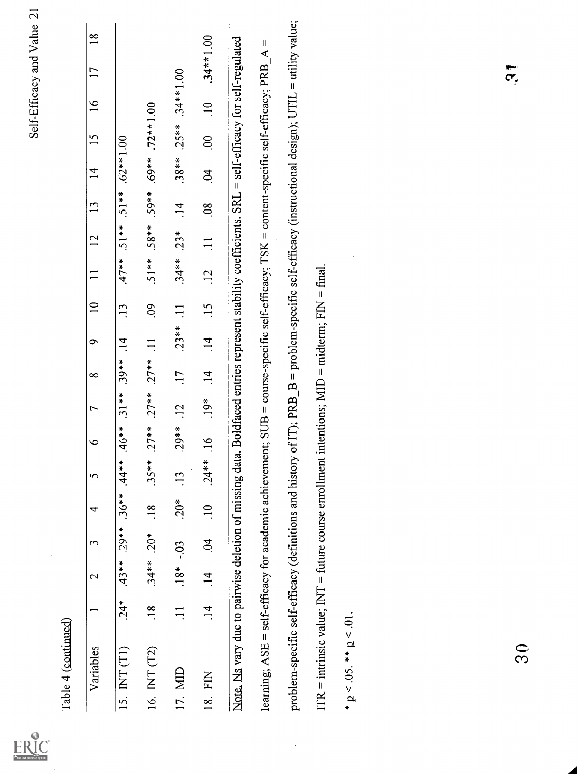|                                                                                                                                                    |                |             |                     |                |                 |                                               |                 |                 |                 |                 |                 |          |                 |                |                      |               | Self-Efficacy and Value 2                                                                    |                |
|----------------------------------------------------------------------------------------------------------------------------------------------------|----------------|-------------|---------------------|----------------|-----------------|-----------------------------------------------|-----------------|-----------------|-----------------|-----------------|-----------------|----------|-----------------|----------------|----------------------|---------------|----------------------------------------------------------------------------------------------|----------------|
| Table 4 (continued)                                                                                                                                |                |             |                     |                |                 | $\circ$                                       | $\overline{ }$  | $\infty$        | $\sigma$        | $\overline{10}$ |                 |          |                 | $\overline{1}$ | $\overline{15}$      |               | 17                                                                                           |                |
| Variables                                                                                                                                          |                | $\mathbf 2$ | 3                   | 4              | 5               |                                               |                 |                 |                 |                 | $\mathbf{1}$    | 12       | 13              |                |                      | $\frac{6}{1}$ |                                                                                              | $\frac{8}{10}$ |
| 15. $INT(T1)$                                                                                                                                      | $24*$          | $.43**$     | $.29**$             | $.36***$       | $44**$          | $.46**$                                       | $.31**$         | $.39**$         | $\overline{14}$ | $\overline{13}$ | $.47**$         | $.51**$  | $.51**$         | $.62**1.00$    |                      |               |                                                                                              |                |
| 16. INT (T2)                                                                                                                                       | $\frac{8}{18}$ | $.34**$     | $20*$               | $\frac{8}{18}$ | $.35**$         | $.27***$                                      | $.27***$        | $.27***$        | $\Xi$           | $\overline{60}$ | $.51**$         | $.58***$ | 59**            | $.69***$       | $.72**1.00$          |               |                                                                                              |                |
| 17. MID                                                                                                                                            | $\Xi$          | $.18*$      | $-0.3$              | $20*$          | $\overline{13}$ | $.29**$                                       | $\overline{12}$ | $\overline{11}$ | $.23**$         | $\Xi$           | $34**$          | $.23*$   | $\overline{14}$ | $.38***$       | $.25**$              | $.34***1.00$  |                                                                                              |                |
| EN<br>$\frac{8}{18}$                                                                                                                               | $\frac{4}{1}$  | $\vec{4}$   | $\ddot{\mathrm{S}}$ | $\frac{1}{2}$  | $.24**$         | $\frac{6}{1}$                                 | $.19*$          | $\frac{14}{ }$  | $\frac{4}{1}$   | $-15$           | $\overline{12}$ | $\Xi$    | $\overline{08}$ | $\dot{q}$      | $\ddot{\mathrm{00}}$ | $\frac{1}{2}$ | $.34**1.00$                                                                                  |                |
| Note. Ns vary due to pairwise deletion of missing data. Boldfaced entries represent stability coefficients. SRL = self-efficacy for self-regulated |                |             |                     |                |                 |                                               |                 |                 |                 |                 |                 |          |                 |                |                      |               |                                                                                              |                |
| learning; ASE = self-efficacy for academic achievement; SUB = course-specific self-efficacy; TSK = content-specific self-efficacy; PRB             |                |             |                     |                |                 |                                               |                 |                 |                 |                 |                 |          |                 |                |                      |               | $\blacktriangleleft$                                                                         | $\sf II$       |
| problem-specific self-efficacy (definitions and history                                                                                            |                |             |                     |                |                 |                                               |                 |                 |                 |                 |                 |          |                 |                |                      |               | of IT); PRB_B = problem-specific self-efficacy (instructional design); UTIL = utility value; |                |
| $ITR =$ intrinsic value; INT = future course enrollment                                                                                            |                |             |                     |                |                 | intentions; $MID = midterm$ ; $FIN = final$ . |                 |                 |                 |                 |                 |          |                 |                |                      |               |                                                                                              |                |
| * $p < 0.05$ . ** $p < 0.01$                                                                                                                       |                |             |                     |                |                 |                                               |                 |                 |                 |                 |                 |          |                 |                |                      |               |                                                                                              |                |
|                                                                                                                                                    |                |             |                     |                |                 |                                               |                 |                 |                 |                 |                 |          |                 |                |                      |               |                                                                                              |                |
|                                                                                                                                                    |                |             |                     |                |                 |                                               |                 |                 |                 |                 |                 |          |                 |                |                      |               |                                                                                              |                |
|                                                                                                                                                    |                |             |                     |                |                 |                                               |                 |                 |                 |                 |                 |          |                 |                |                      |               |                                                                                              |                |
|                                                                                                                                                    |                |             |                     |                |                 |                                               |                 |                 |                 |                 |                 |          |                 |                |                      |               |                                                                                              |                |
|                                                                                                                                                    |                |             |                     |                |                 |                                               |                 |                 |                 |                 |                 |          |                 |                |                      |               |                                                                                              |                |
| $\bar{\mathfrak{S}}$                                                                                                                               |                |             |                     |                |                 |                                               |                 |                 |                 |                 |                 |          |                 |                |                      |               | $\tilde{\mathcal{C}}$                                                                        |                |

 $\ddot{\phantom{0}}$ 

 $\frac{1}{2}$ 

 $\frac{1}{2}$ 

 $\frac{1}{2}$ 

 $ERIC$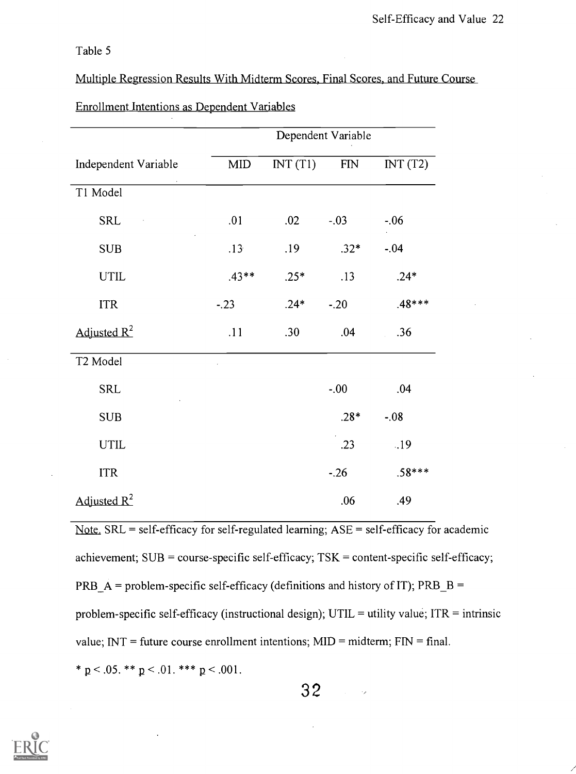Table 5

Multiple Regression Results With Midterm Scores, Final Scores, and Future Course

|                      |              |         | Dependent Variable |          |
|----------------------|--------------|---------|--------------------|----------|
| Independent Variable | $\text{MID}$ | INT(T1) | ${\rm FIN}$        | INT(T2)  |
| T1 Model             |              |         |                    |          |
| <b>SRL</b>           | .01          | .02     | $-.03$             | $-.06$   |
| <b>SUB</b>           | .13          | .19     | $.32*$             | $-.04$   |
| <b>UTIL</b>          | $.43**$      | $.25*$  | .13                | $.24*$   |
| <b>ITR</b>           | $-.23$       | $.24*$  | $-.20$             | $.48***$ |
| Adjusted $R^2$       | .11          | .30     | .04                | .36      |
| T2 Model             |              |         |                    |          |
| <b>SRL</b>           |              |         | $-0.00$            | .04      |
| <b>SUB</b>           |              |         | $.28*$             | $-.08$   |
| <b>UTIL</b>          |              |         | .23                | .19      |
| <b>ITR</b>           |              |         | $-26$              | $.58***$ |
| Adjusted $R^2$       |              |         | .06                | .49      |

### Enrollment Intentions as Dependent Variables

Note.  $SRL = self\text{-efficacy}$  for self-regulated learning;  $ASE = self\text{-efficacy}$  for academic achievement;  $SUB = course-specific self-efficacy; TSK = content-specific self-efficacy;$ PRB  $\overline{A}$  = problem-specific self-efficacy (definitions and history of IT); PRB  $\overline{B}$  = problem-specific self-efficacy (instructional design);  $UTIL =$  utility value;  $ITR =$  intrinsic value;  $INT = future course enrollment intentions; MID = midterm; FIN = final.$ \*  $p < .05$ . \*\*  $p < .01$ . \*\*\*  $p < .001$ .

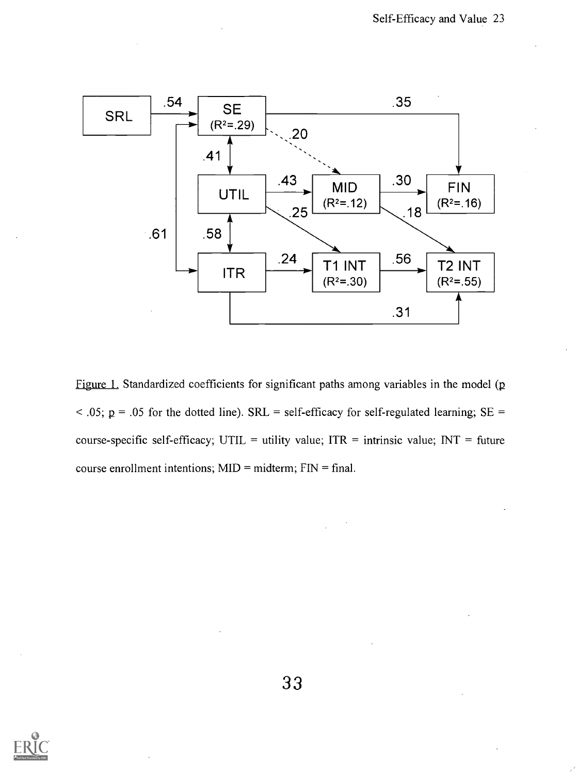

Figure 1. Standardized coefficients for significant paths among variables in the model (p  $<$  0.05; p = 0.05 for the dotted line). SRL = self-efficacy for self-regulated learning; SE = course-specific self-efficacy; UTIL = utility value;  $ITR$  = intrinsic value;  $INT = future$ course enrollment intentions;  $MID = midterm$ ;  $FIN = final$ .



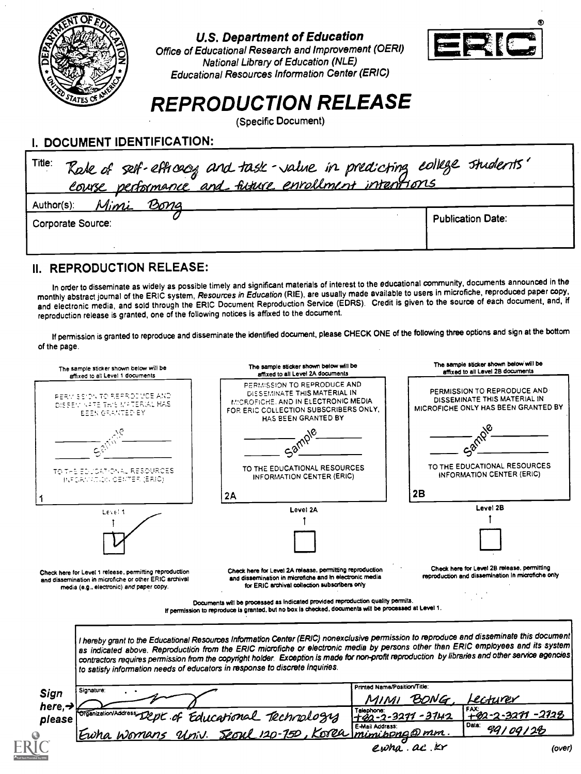

#### U,S. Department of Education

Office of Educational Research and Improvement (OERI) National Library of Education (NLE) Educational Resources Information Center (ERIC)



# REPRODUCTION RELEASE

(Specific Document)

# I. DOCUMENT IDENTIFICATION:

| Title: Rale of self-efficeory and task-value in predicting college students' |                          |
|------------------------------------------------------------------------------|--------------------------|
| <u>Mimi Bong</u><br>Author(s):                                               |                          |
| Corporate Source:                                                            | <b>Publication Date:</b> |
|                                                                              |                          |

## II. REPRODUCTION RELEASE:

In order to disseminate as widely as possible timely and significant materials of interest to the educational community, documents announced in the monthly abstract journal of the ERIC system, Resources in Education (RIE), are usually made available to users in microfiche, reproduced paper copy, and electronic media, and sold through the ERIC Document Reproduction Service (EDRS). Credit is given to the source of each document, and, if reproduction release is granted, one of the following notices is affixed to the document.

If permission is granted to reproduce and disseminate the identified document, please CHECK ONE of the following three options and sign at the bottom of the page.

| PERMISSION TO REPRODUCE AND<br>PERMISSION TO REPRODUCE AND<br>DISSEMINATE THIS MATERIAL IN<br>PERMISSION TO REPRODUCE AND<br>DISSEMINATE THIS MATERIAL IN<br>MICROFICHE, AND IN ELECTRONIC MEDIA<br>DISSEN AFTE THIS MATERIAL HAS<br>MICROFICHE ONLY HAS BEEN GRANTED BY<br>FOR ERIC COLLECTION SUBSCRIBERS ONLY.<br><b>EEEN GRANTED BY</b><br>HAS BEEN GRANTED BY<br>TO THE EDUCATIONAL RESOURCES<br>TO THE EDUCATIONAL RESOURCES<br>TO THE EDUCATIONAL RESOURCES<br>INFORMATION CENTER (ERIC)<br>INFORMATION CENTER (ERIC)<br>INFORMATION CENTER (ERIC)<br>2B<br>2A<br>Level 2B<br>Level 2A<br>Level 1<br>Check here for Level 2B release, permitting<br>Check here for Level 2A release, permitting reproduction<br>Check here for Level 1 releese, permitting reproduction<br>reproduction and dissemination in microfiche only<br>and dissemination in microfiche and in electronic media<br>and dissemination in microfiche or other ERIC archival<br>for ERIC archival collection subscribers only<br>media (e.g., electronic) and paper copy.<br>Documents will be processed as indicated provided reproduction quality permits.<br>If permission to reproduce is granted, but no box is checked, documents will be processed at Level 1.<br>I hereby grant to the Educational Resources Information Center (ERIC) nonexclusive permission to reproduce and disseminate this document<br>as indicated above. Reproduction from the ERIC microfiche or electronic media by persons other than ERIC employees and its system<br>contractors requires permission from the copyright holder. Exception is made for non-profit reproduction by libraries and other service agencies<br>to satisfy information needs of educators in response to discrete inquiries.<br>Printed Name/Position/Title:<br>Signature:<br>Sign<br>BONG.<br>Lecturer<br>here, $\rightarrow$<br>FAX:<br>Talephone:<br>Organization/Address<br>Dept of Educational Technology<br>-3271 -2128<br>+42-2-3271-3742<br>please<br>Data:<br>E-Mail Addrass:<br>99109128<br>Univ. Seoul 120-750, Korea mimibong@mm<br>ewha.ac<br>(over) | The sample sticker shown below will be<br>affixed to all Level 1 documents | The sample sticker shown below will be<br>affixed to all Level 2A documents | The sample sticker shown below will be<br>affixed to all Lavel 2B documents |
|-------------------------------------------------------------------------------------------------------------------------------------------------------------------------------------------------------------------------------------------------------------------------------------------------------------------------------------------------------------------------------------------------------------------------------------------------------------------------------------------------------------------------------------------------------------------------------------------------------------------------------------------------------------------------------------------------------------------------------------------------------------------------------------------------------------------------------------------------------------------------------------------------------------------------------------------------------------------------------------------------------------------------------------------------------------------------------------------------------------------------------------------------------------------------------------------------------------------------------------------------------------------------------------------------------------------------------------------------------------------------------------------------------------------------------------------------------------------------------------------------------------------------------------------------------------------------------------------------------------------------------------------------------------------------------------------------------------------------------------------------------------------------------------------------------------------------------------------------------------------------------------------------------------------------------------------------------------------------------------------------------------------------------------------------------------------------------------------------------------|----------------------------------------------------------------------------|-----------------------------------------------------------------------------|-----------------------------------------------------------------------------|
|                                                                                                                                                                                                                                                                                                                                                                                                                                                                                                                                                                                                                                                                                                                                                                                                                                                                                                                                                                                                                                                                                                                                                                                                                                                                                                                                                                                                                                                                                                                                                                                                                                                                                                                                                                                                                                                                                                                                                                                                                                                                                                             |                                                                            |                                                                             |                                                                             |
|                                                                                                                                                                                                                                                                                                                                                                                                                                                                                                                                                                                                                                                                                                                                                                                                                                                                                                                                                                                                                                                                                                                                                                                                                                                                                                                                                                                                                                                                                                                                                                                                                                                                                                                                                                                                                                                                                                                                                                                                                                                                                                             |                                                                            |                                                                             |                                                                             |
|                                                                                                                                                                                                                                                                                                                                                                                                                                                                                                                                                                                                                                                                                                                                                                                                                                                                                                                                                                                                                                                                                                                                                                                                                                                                                                                                                                                                                                                                                                                                                                                                                                                                                                                                                                                                                                                                                                                                                                                                                                                                                                             |                                                                            |                                                                             |                                                                             |
|                                                                                                                                                                                                                                                                                                                                                                                                                                                                                                                                                                                                                                                                                                                                                                                                                                                                                                                                                                                                                                                                                                                                                                                                                                                                                                                                                                                                                                                                                                                                                                                                                                                                                                                                                                                                                                                                                                                                                                                                                                                                                                             |                                                                            |                                                                             |                                                                             |
|                                                                                                                                                                                                                                                                                                                                                                                                                                                                                                                                                                                                                                                                                                                                                                                                                                                                                                                                                                                                                                                                                                                                                                                                                                                                                                                                                                                                                                                                                                                                                                                                                                                                                                                                                                                                                                                                                                                                                                                                                                                                                                             |                                                                            |                                                                             |                                                                             |
|                                                                                                                                                                                                                                                                                                                                                                                                                                                                                                                                                                                                                                                                                                                                                                                                                                                                                                                                                                                                                                                                                                                                                                                                                                                                                                                                                                                                                                                                                                                                                                                                                                                                                                                                                                                                                                                                                                                                                                                                                                                                                                             |                                                                            |                                                                             |                                                                             |
|                                                                                                                                                                                                                                                                                                                                                                                                                                                                                                                                                                                                                                                                                                                                                                                                                                                                                                                                                                                                                                                                                                                                                                                                                                                                                                                                                                                                                                                                                                                                                                                                                                                                                                                                                                                                                                                                                                                                                                                                                                                                                                             |                                                                            |                                                                             |                                                                             |
|                                                                                                                                                                                                                                                                                                                                                                                                                                                                                                                                                                                                                                                                                                                                                                                                                                                                                                                                                                                                                                                                                                                                                                                                                                                                                                                                                                                                                                                                                                                                                                                                                                                                                                                                                                                                                                                                                                                                                                                                                                                                                                             |                                                                            |                                                                             |                                                                             |
|                                                                                                                                                                                                                                                                                                                                                                                                                                                                                                                                                                                                                                                                                                                                                                                                                                                                                                                                                                                                                                                                                                                                                                                                                                                                                                                                                                                                                                                                                                                                                                                                                                                                                                                                                                                                                                                                                                                                                                                                                                                                                                             |                                                                            |                                                                             |                                                                             |
|                                                                                                                                                                                                                                                                                                                                                                                                                                                                                                                                                                                                                                                                                                                                                                                                                                                                                                                                                                                                                                                                                                                                                                                                                                                                                                                                                                                                                                                                                                                                                                                                                                                                                                                                                                                                                                                                                                                                                                                                                                                                                                             |                                                                            |                                                                             |                                                                             |
|                                                                                                                                                                                                                                                                                                                                                                                                                                                                                                                                                                                                                                                                                                                                                                                                                                                                                                                                                                                                                                                                                                                                                                                                                                                                                                                                                                                                                                                                                                                                                                                                                                                                                                                                                                                                                                                                                                                                                                                                                                                                                                             |                                                                            |                                                                             |                                                                             |
|                                                                                                                                                                                                                                                                                                                                                                                                                                                                                                                                                                                                                                                                                                                                                                                                                                                                                                                                                                                                                                                                                                                                                                                                                                                                                                                                                                                                                                                                                                                                                                                                                                                                                                                                                                                                                                                                                                                                                                                                                                                                                                             |                                                                            |                                                                             |                                                                             |
|                                                                                                                                                                                                                                                                                                                                                                                                                                                                                                                                                                                                                                                                                                                                                                                                                                                                                                                                                                                                                                                                                                                                                                                                                                                                                                                                                                                                                                                                                                                                                                                                                                                                                                                                                                                                                                                                                                                                                                                                                                                                                                             |                                                                            |                                                                             |                                                                             |
|                                                                                                                                                                                                                                                                                                                                                                                                                                                                                                                                                                                                                                                                                                                                                                                                                                                                                                                                                                                                                                                                                                                                                                                                                                                                                                                                                                                                                                                                                                                                                                                                                                                                                                                                                                                                                                                                                                                                                                                                                                                                                                             |                                                                            |                                                                             |                                                                             |